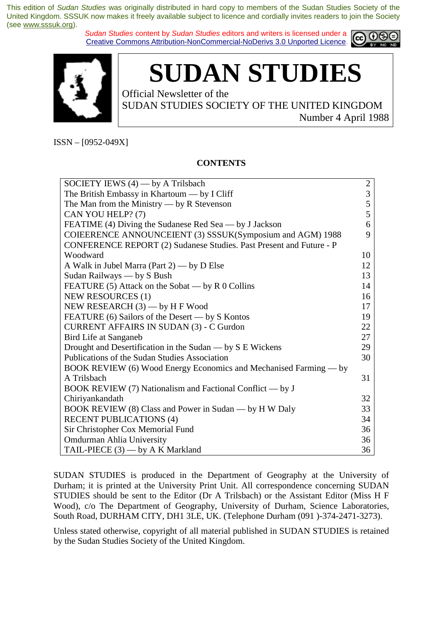*Sudan Studies* content by *Sudan Studies* editors and writers is licensed under a Creative Commons Attribution-NonCommercial-NoDerivs 3.0 Unported Licence.





**SUDAN STUDIES** 

Official Newsletter of the SUDAN STUDIES SOCIETY OF THE UNITED KINGDOM

Number 4 April 1988

ISSN – [0952-049X]

### **CONTENTS**

| SOCIETY IEWS $(4)$ — by A Trilsbach                                 | $\overline{2}$ |
|---------------------------------------------------------------------|----------------|
| The British Embassy in Khartoum — by I Cliff                        | 3              |
| The Man from the Ministry $-$ by R Stevenson                        | 5              |
| CAN YOU HELP? (7)                                                   | 5              |
| FEATIME (4) Diving the Sudanese Red Sea — by J Jackson              | 6              |
| COIEERENCE ANNOUNCEIENT (3) SSSUK(Symposium and AGM) 1988           | 9              |
| CONFERENCE REPORT (2) Sudanese Studies. Past Present and Future - P |                |
| Woodward                                                            | 10             |
| A Walk in Jubel Marra (Part 2) — by D Else                          | 12             |
| Sudan Railways — by S Bush                                          | 13             |
| FEATURE (5) Attack on the Sobat — by R 0 Collins                    | 14             |
| <b>NEW RESOURCES (1)</b>                                            | 16             |
| NEW RESEARCH (3) - by H F Wood                                      | 17             |
| FEATURE (6) Sailors of the Desert — by S Kontos                     | 19             |
| <b>CURRENT AFFAIRS IN SUDAN (3) - C Gurdon</b>                      | 22             |
| Bird Life at Sanganeb                                               | 27             |
| Drought and Desertification in the Sudan — by S E Wickens           | 29             |
| Publications of the Sudan Studies Association                       | 30             |
| BOOK REVIEW (6) Wood Energy Economics and Mechanised Farming — by   |                |
| A Trilsbach                                                         | 31             |
| BOOK REVIEW (7) Nationalism and Factional Conflict $-$ by J         |                |
| Chiriyankandath                                                     | 32             |
| BOOK REVIEW (8) Class and Power in Sudan — by H W Daly              | 33             |
| <b>RECENT PUBLICATIONS (4)</b>                                      | 34             |
| Sir Christopher Cox Memorial Fund                                   | 36             |
| Omdurman Ahlia University                                           | 36             |
| TAIL-PIECE $(3)$ — by A K Markland                                  | 36             |

SUDAN STUDIES is produced in the Department of Geography at the University of Durham; it is printed at the University Print Unit. All correspondence concerning SUDAN STUDIES should be sent to the Editor (Dr A Trilsbach) or the Assistant Editor (Miss H F Wood), c/o The Department of Geography, University of Durham, Science Laboratories, South Road, DURHAM CITY, DH1 3LE, UK. (Telephone Durham (091 )-374-2471-3273).

Unless stated otherwise, copyright of all material published in SUDAN STUDIES is retained by the Sudan Studies Society of the United Kingdom.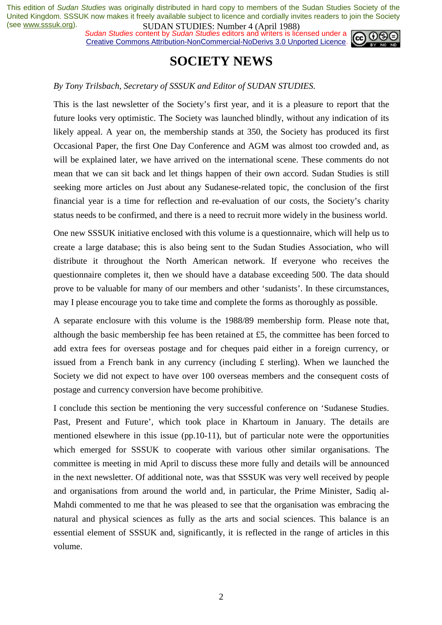**SUDAN STUDES. NUTTER FOR TAPPER CONTROL**<br>Sudan Studies content by Sudan Studies editors and writers is licensed under a Creative Commons Attribution-NonCommercial-NoDerivs 3.0 Unported Licence.



### **SOCIETY NEWS**

### *By Tony Trilsbach, Secretary of SSSUK and Editor of SUDAN STUDIES.*

This is the last newsletter of the Society's first year, and it is a pleasure to report that the future looks very optimistic. The Society was launched blindly, without any indication of its likely appeal. A year on, the membership stands at 350, the Society has produced its first Occasional Paper, the first One Day Conference and AGM was almost too crowded and, as will be explained later, we have arrived on the international scene. These comments do not mean that we can sit back and let things happen of their own accord. Sudan Studies is still seeking more articles on Just about any Sudanese-related topic, the conclusion of the first financial year is a time for reflection and re-evaluation of our costs, the Society's charity status needs to be confirmed, and there is a need to recruit more widely in the business world.

One new SSSUK initiative enclosed with this volume is a questionnaire, which will help us to create a large database; this is also being sent to the Sudan Studies Association, who will distribute it throughout the North American network. If everyone who receives the questionnaire completes it, then we should have a database exceeding 500. The data should prove to be valuable for many of our members and other 'sudanists'. In these circumstances, may I please encourage you to take time and complete the forms as thoroughly as possible.

A separate enclosure with this volume is the 1988/89 membership form. Please note that, although the basic membership fee has been retained at £5, the committee has been forced to add extra fees for overseas postage and for cheques paid either in a foreign currency, or issued from a French bank in any currency (including  $\epsilon$  sterling). When we launched the Society we did not expect to have over 100 overseas members and the consequent costs of postage and currency conversion have become prohibitive.

I conclude this section be mentioning the very successful conference on 'Sudanese Studies. Past, Present and Future', which took place in Khartoum in January. The details are mentioned elsewhere in this issue (pp.10-11), but of particular note were the opportunities which emerged for SSSUK to cooperate with various other similar organisations. The committee is meeting in mid April to discuss these more fully and details will be announced in the next newsletter. Of additional note, was that SSSUK was very well received by people and organisations from around the world and, in particular, the Prime Minister, Sadiq al-Mahdi commented to me that he was pleased to see that the organisation was embracing the natural and physical sciences as fully as the arts and social sciences. This balance is an essential element of SSSUK and, significantly, it is reflected in the range of articles in this volume.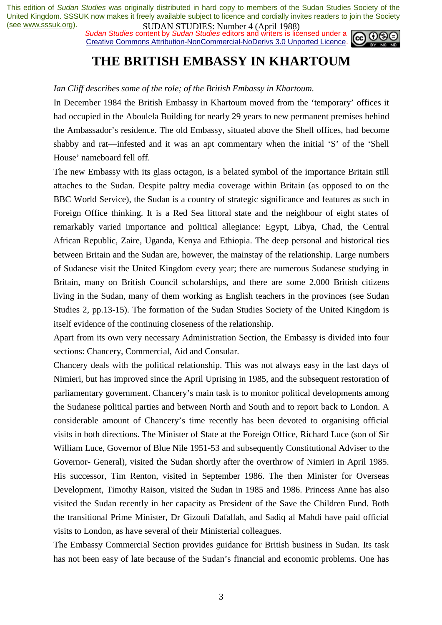**SUDAN STUDIES:** NUTTER FOR THE 17001<br>*Sudan Studies* content by *Sudan Studies* editors and writers is licensed under a Creative Commons Attribution-NonCommercial-NoDerivs 3.0 Unported Licence.



### **THE BRITISH EMBASSY IN KHARTOUM**

#### *Ian Cliff describes some of the role; of the British Embassy in Khartoum.*

In December 1984 the British Embassy in Khartoum moved from the 'temporary' offices it had occupied in the Aboulela Building for nearly 29 years to new permanent premises behind the Ambassador's residence. The old Embassy, situated above the Shell offices, had become shabby and rat—infested and it was an apt commentary when the initial 'S' of the 'Shell House' nameboard fell off.

The new Embassy with its glass octagon, is a belated symbol of the importance Britain still attaches to the Sudan. Despite paltry media coverage within Britain (as opposed to on the BBC World Service), the Sudan is a country of strategic significance and features as such in Foreign Office thinking. It is a Red Sea littoral state and the neighbour of eight states of remarkably varied importance and political allegiance: Egypt, Libya, Chad, the Central African Republic, Zaire, Uganda, Kenya and Ethiopia. The deep personal and historical ties between Britain and the Sudan are, however, the mainstay of the relationship. Large numbers of Sudanese visit the United Kingdom every year; there are numerous Sudanese studying in Britain, many on British Council scholarships, and there are some 2,000 British citizens living in the Sudan, many of them working as English teachers in the provinces (see Sudan Studies 2, pp.13-15). The formation of the Sudan Studies Society of the United Kingdom is itself evidence of the continuing closeness of the relationship.

Apart from its own very necessary Administration Section, the Embassy is divided into four sections: Chancery, Commercial, Aid and Consular.

Chancery deals with the political relationship. This was not always easy in the last days of Nimieri, but has improved since the April Uprising in 1985, and the subsequent restoration of parliamentary government. Chancery's main task is to monitor political developments among the Sudanese political parties and between North and South and to report back to London. A considerable amount of Chancery's time recently has been devoted to organising official visits in both directions. The Minister of State at the Foreign Office, Richard Luce (son of Sir William Luce, Governor of Blue Nile 1951-53 and subsequently Constitutional Adviser to the Governor- General), visited the Sudan shortly after the overthrow of Nimieri in April 1985. His successor, Tim Renton, visited in September 1986. The then Minister for Overseas Development, Timothy Raison, visited the Sudan in 1985 and 1986. Princess Anne has also visited the Sudan recently in her capacity as President of the Save the Children Fund. Both the transitional Prime Minister, Dr Gizouli Dafallah, and Sadiq al Mahdi have paid official visits to London, as have several of their Ministerial colleagues.

The Embassy Commercial Section provides guidance for British business in Sudan. Its task has not been easy of late because of the Sudan's financial and economic problems. One has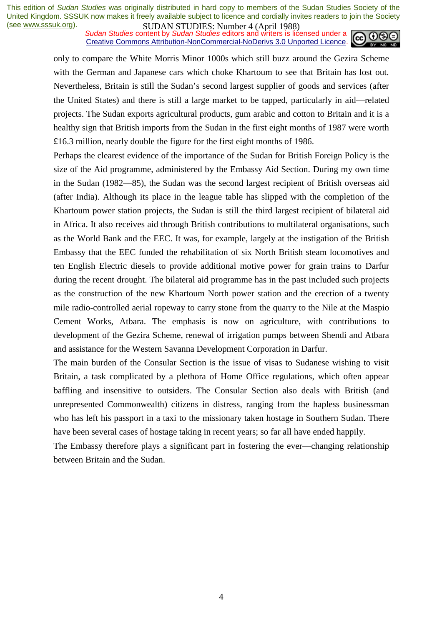**SUDAN STUDIES:** Number 4 (Apin 1700)<br>*Sudan Studies* content by *Sudan Studies* editors and writers is licensed under a **co.** 00 Creative Commons Attribution-NonCommercial-NoDerivs 3.0 Unported Licence.



only to compare the White Morris Minor 1000s which still buzz around the Gezira Scheme with the German and Japanese cars which choke Khartoum to see that Britain has lost out. Nevertheless, Britain is still the Sudan's second largest supplier of goods and services (after the United States) and there is still a large market to be tapped, particularly in aid—related projects. The Sudan exports agricultural products, gum arabic and cotton to Britain and it is a healthy sign that British imports from the Sudan in the first eight months of 1987 were worth £16.3 million, nearly double the figure for the first eight months of 1986.

Perhaps the clearest evidence of the importance of the Sudan for British Foreign Policy is the size of the Aid programme, administered by the Embassy Aid Section. During my own time in the Sudan (1982—85), the Sudan was the second largest recipient of British overseas aid (after India). Although its place in the league table has slipped with the completion of the Khartoum power station projects, the Sudan is still the third largest recipient of bilateral aid in Africa. It also receives aid through British contributions to multilateral organisations, such as the World Bank and the EEC. It was, for example, largely at the instigation of the British Embassy that the EEC funded the rehabilitation of six North British steam locomotives and ten English Electric diesels to provide additional motive power for grain trains to Darfur during the recent drought. The bilateral aid programme has in the past included such projects as the construction of the new Khartoum North power station and the erection of a twenty mile radio-controlled aerial ropeway to carry stone from the quarry to the Nile at the Maspio Cement Works, Atbara. The emphasis is now on agriculture, with contributions to development of the Gezira Scheme, renewal of irrigation pumps between Shendi and Atbara and assistance for the Western Savanna Development Corporation in Darfur.

The main burden of the Consular Section is the issue of visas to Sudanese wishing to visit Britain, a task complicated by a plethora of Home Office regulations, which often appear baffling and insensitive to outsiders. The Consular Section also deals with British (and unrepresented Commonwealth) citizens in distress, ranging from the hapless businessman who has left his passport in a taxi to the missionary taken hostage in Southern Sudan. There have been several cases of hostage taking in recent years; so far all have ended happily.

The Embassy therefore plays a significant part in fostering the ever—changing relationship between Britain and the Sudan.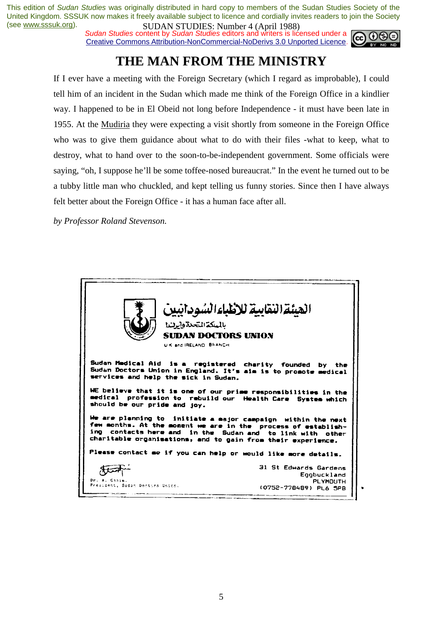*Sudan Studies* content by *Sudan Studies* editors and writers is licensed under a Creative Commons Attribution-NonCommercial-NoDerivs 3.0 Unported Licence.



## **THE MAN FROM THE MINISTRY**

If I ever have a meeting with the Foreign Secretary (which I regard as improbable), I could tell him of an incident in the Sudan which made me think of the Foreign Office in a kindlier way. I happened to be in El Obeid not long before Independence - it must have been late in 1955. At the Mudiria they were expecting a visit shortly from someone in the Foreign Office who was to give them guidance about what to do with their files -what to keep, what to destroy, what to hand over to the soon-to-be-independent government. Some officials were saying, "oh, I suppose he'll be some toffee-nosed bureaucrat." In the event he turned out to be a tubby little man who chuckled, and kept telling us funny stories. Since then I have always felt better about the Foreign Office - it has a human face after all.

*by Professor Roland Stevenson.* 

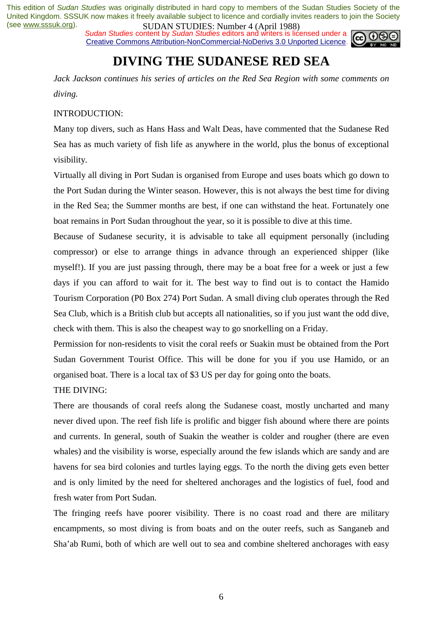**SUDAN STUDES.** NUTTER FOR THE LOOP Sudan Studies content by Sudan Studies editors and writers is licensed under a Creative Commons Attribution-NonCommercial-NoDerivs 3.0 Unported Licence.



## **DIVING THE SUDANESE RED SEA**

*Jack Jackson continues his series of articles on the Red Sea Region with some comments on diving.* 

### INTRODUCTION:

Many top divers, such as Hans Hass and Walt Deas, have commented that the Sudanese Red Sea has as much variety of fish life as anywhere in the world, plus the bonus of exceptional visibility.

Virtually all diving in Port Sudan is organised from Europe and uses boats which go down to the Port Sudan during the Winter season. However, this is not always the best time for diving in the Red Sea; the Summer months are best, if one can withstand the heat. Fortunately one boat remains in Port Sudan throughout the year, so it is possible to dive at this time.

Because of Sudanese security, it is advisable to take all equipment personally (including compressor) or else to arrange things in advance through an experienced shipper (like myself!). If you are just passing through, there may be a boat free for a week or just a few days if you can afford to wait for it. The best way to find out is to contact the Hamido Tourism Corporation (P0 Box 274) Port Sudan. A small diving club operates through the Red Sea Club, which is a British club but accepts all nationalities, so if you just want the odd dive, check with them. This is also the cheapest way to go snorkelling on a Friday.

Permission for non-residents to visit the coral reefs or Suakin must be obtained from the Port Sudan Government Tourist Office. This will be done for you if you use Hamido, or an organised boat. There is a local tax of \$3 US per day for going onto the boats.

### THE DIVING:

There are thousands of coral reefs along the Sudanese coast, mostly uncharted and many never dived upon. The reef fish life is prolific and bigger fish abound where there are points and currents. In general, south of Suakin the weather is colder and rougher (there are even whales) and the visibility is worse, especially around the few islands which are sandy and are havens for sea bird colonies and turtles laying eggs. To the north the diving gets even better and is only limited by the need for sheltered anchorages and the logistics of fuel, food and fresh water from Port Sudan.

The fringing reefs have poorer visibility. There is no coast road and there are military encampments, so most diving is from boats and on the outer reefs, such as Sanganeb and Sha'ab Rumi, both of which are well out to sea and combine sheltered anchorages with easy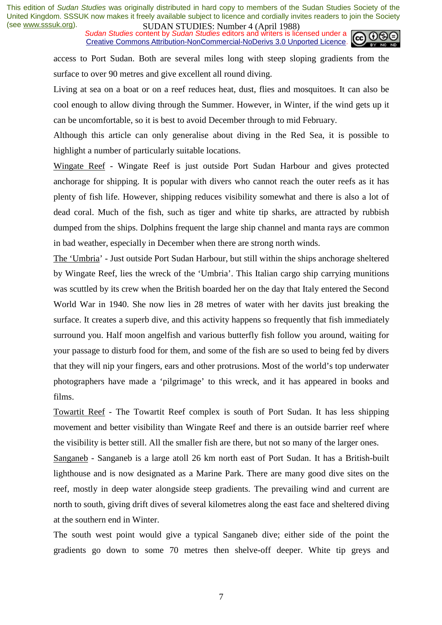**SUDAN STUDES. NUTTER FOR THE LOOP SUDAN STUDES**<br>Sudan Studies content by Sudan Studies editors and writers is licensed under a Creative Commons Attribution-NonCommercial-NoDerivs 3.0 Unported Licence.



access to Port Sudan. Both are several miles long with steep sloping gradients from the surface to over 90 metres and give excellent all round diving.

Living at sea on a boat or on a reef reduces heat, dust, flies and mosquitoes. It can also be cool enough to allow diving through the Summer. However, in Winter, if the wind gets up it can be uncomfortable, so it is best to avoid December through to mid February.

Although this article can only generalise about diving in the Red Sea, it is possible to highlight a number of particularly suitable locations.

Wingate Reef - Wingate Reef is just outside Port Sudan Harbour and gives protected anchorage for shipping. It is popular with divers who cannot reach the outer reefs as it has plenty of fish life. However, shipping reduces visibility somewhat and there is also a lot of dead coral. Much of the fish, such as tiger and white tip sharks, are attracted by rubbish dumped from the ships. Dolphins frequent the large ship channel and manta rays are common in bad weather, especially in December when there are strong north winds.

The 'Umbria' - Just outside Port Sudan Harbour, but still within the ships anchorage sheltered by Wingate Reef, lies the wreck of the 'Umbria'. This Italian cargo ship carrying munitions was scuttled by its crew when the British boarded her on the day that Italy entered the Second World War in 1940. She now lies in 28 metres of water with her davits just breaking the surface. It creates a superb dive, and this activity happens so frequently that fish immediately surround you. Half moon angelfish and various butterfly fish follow you around, waiting for your passage to disturb food for them, and some of the fish are so used to being fed by divers that they will nip your fingers, ears and other protrusions. Most of the world's top underwater photographers have made a 'pilgrimage' to this wreck, and it has appeared in books and films.

Towartit Reef - The Towartit Reef complex is south of Port Sudan. It has less shipping movement and better visibility than Wingate Reef and there is an outside barrier reef where the visibility is better still. All the smaller fish are there, but not so many of the larger ones.

Sanganeb - Sanganeb is a large atoll 26 km north east of Port Sudan. It has a British-built lighthouse and is now designated as a Marine Park. There are many good dive sites on the reef, mostly in deep water alongside steep gradients. The prevailing wind and current are north to south, giving drift dives of several kilometres along the east face and sheltered diving at the southern end in Winter.

The south west point would give a typical Sanganeb dive; either side of the point the gradients go down to some 70 metres then shelve-off deeper. White tip greys and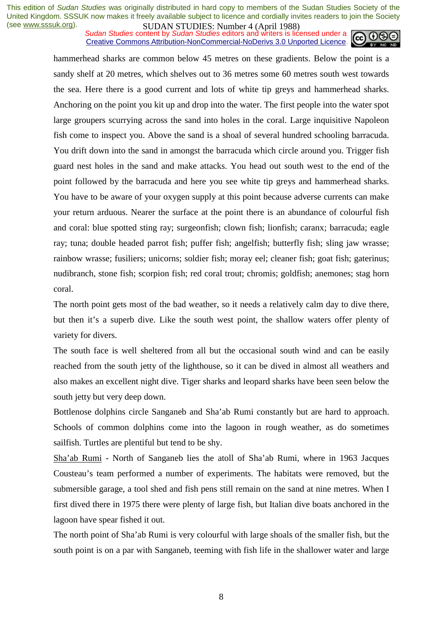**SUDAN STUDES. NUTTER FOR TAPPER CONTROL**<br>Sudan Studies content by Sudan Studies editors and writers is licensed under a Creative Commons Attribution-NonCommercial-NoDerivs 3.0 Unported Licence.



hammerhead sharks are common below 45 metres on these gradients. Below the point is a sandy shelf at 20 metres, which shelves out to 36 metres some 60 metres south west towards the sea. Here there is a good current and lots of white tip greys and hammerhead sharks. Anchoring on the point you kit up and drop into the water. The first people into the water spot large groupers scurrying across the sand into holes in the coral. Large inquisitive Napoleon fish come to inspect you. Above the sand is a shoal of several hundred schooling barracuda. You drift down into the sand in amongst the barracuda which circle around you. Trigger fish guard nest holes in the sand and make attacks. You head out south west to the end of the point followed by the barracuda and here you see white tip greys and hammerhead sharks. You have to be aware of your oxygen supply at this point because adverse currents can make your return arduous. Nearer the surface at the point there is an abundance of colourful fish and coral: blue spotted sting ray; surgeonfish; clown fish; lionfish; caranx; barracuda; eagle ray; tuna; double headed parrot fish; puffer fish; angelfish; butterfly fish; sling jaw wrasse; rainbow wrasse; fusiliers; unicorns; soldier fish; moray eel; cleaner fish; goat fish; gaterinus; nudibranch, stone fish; scorpion fish; red coral trout; chromis; goldfish; anemones; stag horn coral.

The north point gets most of the bad weather, so it needs a relatively calm day to dive there, but then it's a superb dive. Like the south west point, the shallow waters offer plenty of variety for divers.

The south face is well sheltered from all but the occasional south wind and can be easily reached from the south jetty of the lighthouse, so it can be dived in almost all weathers and also makes an excellent night dive. Tiger sharks and leopard sharks have been seen below the south jetty but very deep down.

Bottlenose dolphins circle Sanganeb and Sha'ab Rumi constantly but are hard to approach. Schools of common dolphins come into the lagoon in rough weather, as do sometimes sailfish. Turtles are plentiful but tend to be shy.

Sha'ab Rumi - North of Sanganeb lies the atoll of Sha'ab Rumi, where in 1963 Jacques Cousteau's team performed a number of experiments. The habitats were removed, but the submersible garage, a tool shed and fish pens still remain on the sand at nine metres. When I first dived there in 1975 there were plenty of large fish, but Italian dive boats anchored in the lagoon have spear fished it out.

The north point of Sha'ab Rumi is very colourful with large shoals of the smaller fish, but the south point is on a par with Sanganeb, teeming with fish life in the shallower water and large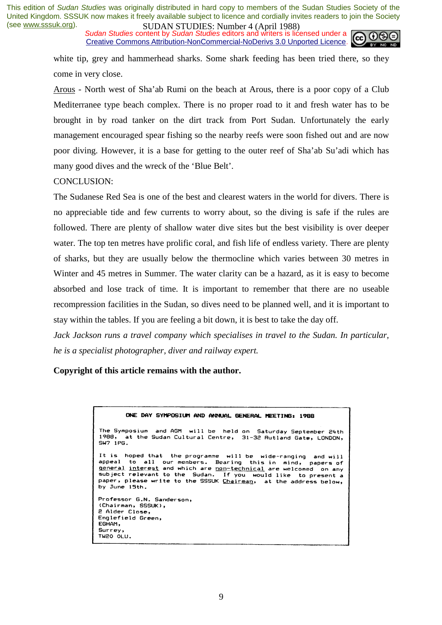*Sudan Studies* content by *Sudan Studies* editors and writers is licensed under a Creative Commons Attribution-NonCommercial-NoDerivs 3.0 Unported Licence.



white tip, grey and hammerhead sharks. Some shark feeding has been tried there, so they come in very close.

Arous - North west of Sha'ab Rumi on the beach at Arous, there is a poor copy of a Club Mediterranee type beach complex. There is no proper road to it and fresh water has to be brought in by road tanker on the dirt track from Port Sudan. Unfortunately the early management encouraged spear fishing so the nearby reefs were soon fished out and are now poor diving. However, it is a base for getting to the outer reef of Sha'ab Su'adi which has many good dives and the wreck of the 'Blue Belt'.

CONCLUSION:

The Sudanese Red Sea is one of the best and clearest waters in the world for divers. There is no appreciable tide and few currents to worry about, so the diving is safe if the rules are followed. There are plenty of shallow water dive sites but the best visibility is over deeper water. The top ten metres have prolific coral, and fish life of endless variety. There are plenty of sharks, but they are usually below the thermocline which varies between 30 metres in Winter and 45 metres in Summer. The water clarity can be a hazard, as it is easy to become absorbed and lose track of time. It is important to remember that there are no useable recompression facilities in the Sudan, so dives need to be planned well, and it is important to stay within the tables. If you are feeling a bit down, it is best to take the day off.

*Jack Jackson runs a travel company which specialises in travel to the Sudan. In particular, he is a specialist photographer, diver and railway expert.* 

#### **Copyright of this article remains with the author.**

#### ONE DAY SYMPOSIUM AND ANNUAL GENERAL MEETING: 1988

The Symposium and AGM will be held on Saturday September 24th 1988, at the Sudan Cultural Centre, 31-32 Rutland Gate, LONDON, SW7 1PG.

It is hoped that the programme will be wide-ranging and will appeal to all our members. Bearing this in mind, papers of general interest and which are non-technical are welcomed on any subject relevant to the Sudan. If you would like to present a paper, please write to the SSSUK Chairman, at the address below, by June 15th.

Professor G.N. Sanderson, (Chairman, SSSUK), 2 Alder Close, Englefield Green, EGHAM, Surrey TW20 OLU.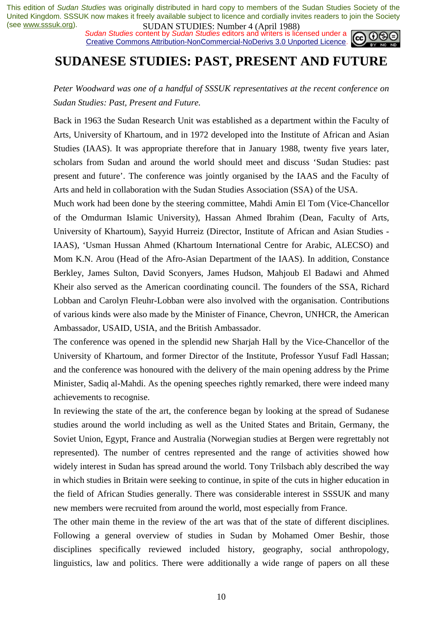**SUDAN STUDIES:** NUTTER FOR THE 17001<br>*Sudan Studies* content by *Sudan Studies* editors and writers is licensed under a Creative Commons Attribution-NonCommercial-NoDerivs 3.0 Unported Licence.



### **SUDANESE STUDIES: PAST, PRESENT AND FUTURE**

*Peter Woodward was one of a handful of SSSUK representatives at the recent conference on Sudan Studies: Past, Present and Future.* 

Back in 1963 the Sudan Research Unit was established as a department within the Faculty of Arts, University of Khartoum, and in 1972 developed into the Institute of African and Asian Studies (IAAS). It was appropriate therefore that in January 1988, twenty five years later, scholars from Sudan and around the world should meet and discuss 'Sudan Studies: past present and future'. The conference was jointly organised by the IAAS and the Faculty of Arts and held in collaboration with the Sudan Studies Association (SSA) of the USA.

Much work had been done by the steering committee, Mahdi Amin El Tom (Vice-Chancellor of the Omdurman Islamic University), Hassan Ahmed Ibrahim (Dean, Faculty of Arts, University of Khartoum), Sayyid Hurreiz (Director, Institute of African and Asian Studies - IAAS), 'Usman Hussan Ahmed (Khartoum International Centre for Arabic, ALECSO) and Mom K.N. Arou (Head of the Afro-Asian Department of the IAAS). In addition, Constance Berkley, James Sulton, David Sconyers, James Hudson, Mahjoub El Badawi and Ahmed Kheir also served as the American coordinating council. The founders of the SSA, Richard Lobban and Carolyn Fleuhr-Lobban were also involved with the organisation. Contributions of various kinds were also made by the Minister of Finance, Chevron, UNHCR, the American Ambassador, USAID, USIA, and the British Ambassador.

The conference was opened in the splendid new Sharjah Hall by the Vice-Chancellor of the University of Khartoum, and former Director of the Institute, Professor Yusuf Fadl Hassan; and the conference was honoured with the delivery of the main opening address by the Prime Minister, Sadiq al-Mahdi. As the opening speeches rightly remarked, there were indeed many achievements to recognise.

In reviewing the state of the art, the conference began by looking at the spread of Sudanese studies around the world including as well as the United States and Britain, Germany, the Soviet Union, Egypt, France and Australia (Norwegian studies at Bergen were regrettably not represented). The number of centres represented and the range of activities showed how widely interest in Sudan has spread around the world. Tony Trilsbach ably described the way in which studies in Britain were seeking to continue, in spite of the cuts in higher education in the field of African Studies generally. There was considerable interest in SSSUK and many new members were recruited from around the world, most especially from France.

The other main theme in the review of the art was that of the state of different disciplines. Following a general overview of studies in Sudan by Mohamed Omer Beshir, those disciplines specifically reviewed included history, geography, social anthropology, linguistics, law and politics. There were additionally a wide range of papers on all these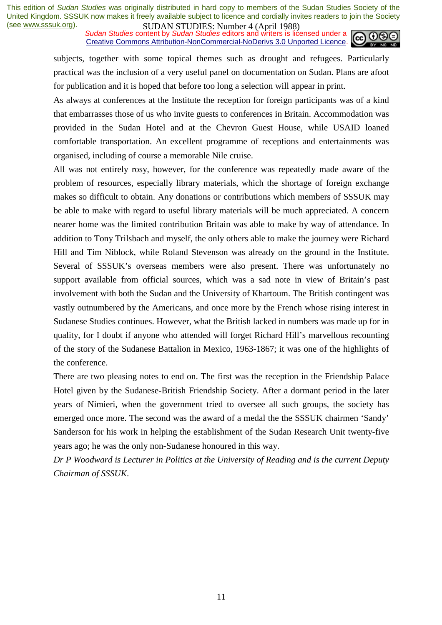**SUDAN STUDIES:** NUTTER (APIT 1700)<br>*Sudan Studies* content by *Sudan Studies* editors and writers is licensed under a Creative Commons Attribution-NonCommercial-NoDerivs 3.0 Unported Licence.



subjects, together with some topical themes such as drought and refugees. Particularly practical was the inclusion of a very useful panel on documentation on Sudan. Plans are afoot for publication and it is hoped that before too long a selection will appear in print.

As always at conferences at the Institute the reception for foreign participants was of a kind that embarrasses those of us who invite guests to conferences in Britain. Accommodation was provided in the Sudan Hotel and at the Chevron Guest House, while USAID loaned comfortable transportation. An excellent programme of receptions and entertainments was organised, including of course a memorable Nile cruise.

All was not entirely rosy, however, for the conference was repeatedly made aware of the problem of resources, especially library materials, which the shortage of foreign exchange makes so difficult to obtain. Any donations or contributions which members of SSSUK may be able to make with regard to useful library materials will be much appreciated. A concern nearer home was the limited contribution Britain was able to make by way of attendance. In addition to Tony Trilsbach and myself, the only others able to make the journey were Richard Hill and Tim Niblock, while Roland Stevenson was already on the ground in the Institute. Several of SSSUK's overseas members were also present. There was unfortunately no support available from official sources, which was a sad note in view of Britain's past involvement with both the Sudan and the University of Khartoum. The British contingent was vastly outnumbered by the Americans, and once more by the French whose rising interest in Sudanese Studies continues. However, what the British lacked in numbers was made up for in quality, for I doubt if anyone who attended will forget Richard Hill's marvellous recounting of the story of the Sudanese Battalion in Mexico, 1963-1867; it was one of the highlights of the conference.

There are two pleasing notes to end on. The first was the reception in the Friendship Palace Hotel given by the Sudanese-British Friendship Society. After a dormant period in the later years of Nimieri, when the government tried to oversee all such groups, the society has emerged once more. The second was the award of a medal the the SSSUK chairmen 'Sandy' Sanderson for his work in helping the establishment of the Sudan Research Unit twenty-five years ago; he was the only non-Sudanese honoured in this way.

*Dr P Woodward is Lecturer in Politics at the University of Reading and is the current Deputy Chairman of SSSUK*.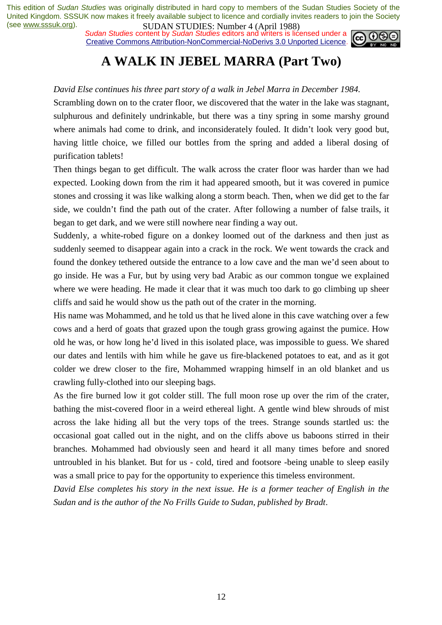**SUDAN STUDIES.** Number 4 (April 1700)<br>*Sudan Studies* content by *Sudan Studies* editors and writers is licensed under a Creative Commons Attribution-NonCommercial-NoDerivs 3.0 Unported Licence.



## **A WALK IN JEBEL MARRA (Part Two)**

#### *David Else continues his three part story of a walk in Jebel Marra in December 1984.*

Scrambling down on to the crater floor, we discovered that the water in the lake was stagnant, sulphurous and definitely undrinkable, but there was a tiny spring in some marshy ground where animals had come to drink, and inconsiderately fouled. It didn't look very good but, having little choice, we filled our bottles from the spring and added a liberal dosing of purification tablets!

Then things began to get difficult. The walk across the crater floor was harder than we had expected. Looking down from the rim it had appeared smooth, but it was covered in pumice stones and crossing it was like walking along a storm beach. Then, when we did get to the far side, we couldn't find the path out of the crater. After following a number of false trails, it began to get dark, and we were still nowhere near finding a way out.

Suddenly, a white-robed figure on a donkey loomed out of the darkness and then just as suddenly seemed to disappear again into a crack in the rock. We went towards the crack and found the donkey tethered outside the entrance to a low cave and the man we'd seen about to go inside. He was a Fur, but by using very bad Arabic as our common tongue we explained where we were heading. He made it clear that it was much too dark to go climbing up sheer cliffs and said he would show us the path out of the crater in the morning.

His name was Mohammed, and he told us that he lived alone in this cave watching over a few cows and a herd of goats that grazed upon the tough grass growing against the pumice. How old he was, or how long he'd lived in this isolated place, was impossible to guess. We shared our dates and lentils with him while he gave us fire-blackened potatoes to eat, and as it got colder we drew closer to the fire, Mohammed wrapping himself in an old blanket and us crawling fully-clothed into our sleeping bags.

As the fire burned low it got colder still. The full moon rose up over the rim of the crater, bathing the mist-covered floor in a weird ethereal light. A gentle wind blew shrouds of mist across the lake hiding all but the very tops of the trees. Strange sounds startled us: the occasional goat called out in the night, and on the cliffs above us baboons stirred in their branches. Mohammed had obviously seen and heard it all many times before and snored untroubled in his blanket. But for us - cold, tired and footsore -being unable to sleep easily was a small price to pay for the opportunity to experience this timeless environment.

*David Else completes his story in the next issue. He is a former teacher of English in the Sudan and is the author of the No Frills Guide to Sudan, published by Bradt*.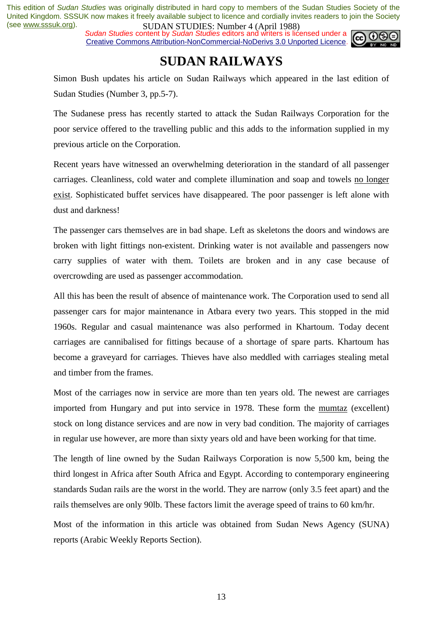**SUDAN STUDIES.** Number 4 (April 1700)<br>*Sudan Studies* content by *Sudan Studies* editors and writers is licensed under a Creative Commons Attribution-NonCommercial-NoDerivs 3.0 Unported Licence.



### **SUDAN RAILWAYS**

Simon Bush updates his article on Sudan Railways which appeared in the last edition of Sudan Studies (Number 3, pp.5-7).

The Sudanese press has recently started to attack the Sudan Railways Corporation for the poor service offered to the travelling public and this adds to the information supplied in my previous article on the Corporation.

Recent years have witnessed an overwhelming deterioration in the standard of all passenger carriages. Cleanliness, cold water and complete illumination and soap and towels no longer exist. Sophisticated buffet services have disappeared. The poor passenger is left alone with dust and darkness!

The passenger cars themselves are in bad shape. Left as skeletons the doors and windows are broken with light fittings non-existent. Drinking water is not available and passengers now carry supplies of water with them. Toilets are broken and in any case because of overcrowding are used as passenger accommodation.

All this has been the result of absence of maintenance work. The Corporation used to send all passenger cars for major maintenance in Atbara every two years. This stopped in the mid 1960s. Regular and casual maintenance was also performed in Khartoum. Today decent carriages are cannibalised for fittings because of a shortage of spare parts. Khartoum has become a graveyard for carriages. Thieves have also meddled with carriages stealing metal and timber from the frames.

Most of the carriages now in service are more than ten years old. The newest are carriages imported from Hungary and put into service in 1978. These form the mumtaz (excellent) stock on long distance services and are now in very bad condition. The majority of carriages in regular use however, are more than sixty years old and have been working for that time.

The length of line owned by the Sudan Railways Corporation is now 5,500 km, being the third longest in Africa after South Africa and Egypt. According to contemporary engineering standards Sudan rails are the worst in the world. They are narrow (only 3.5 feet apart) and the rails themselves are only 90lb. These factors limit the average speed of trains to 60 km/hr.

Most of the information in this article was obtained from Sudan News Agency (SUNA) reports (Arabic Weekly Reports Section).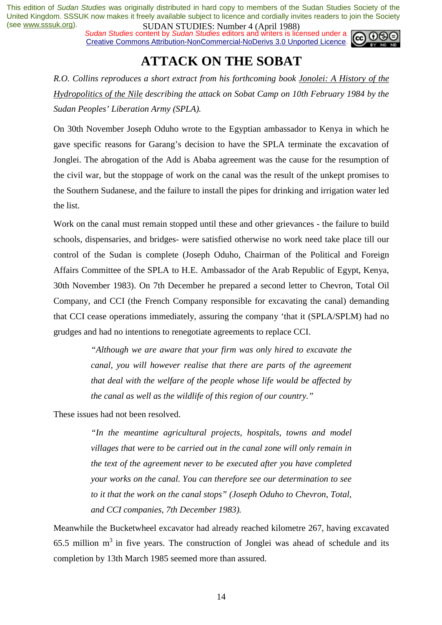*Sudan Studies* content by *Sudan Studies* editors and writers is licensed under a Creative Commons Attribution-NonCommercial-NoDerivs 3.0 Unported Licence.



## **ATTACK ON THE SOBAT**

*R.O. Collins reproduces a short extract from his forthcoming book Jonolei: A History of the Hydropolitics of the Nile describing the attack on Sobat Camp on 10th February 1984 by the Sudan Peoples' Liberation Army (SPLA).* 

On 30th November Joseph Oduho wrote to the Egyptian ambassador to Kenya in which he gave specific reasons for Garang's decision to have the SPLA terminate the excavation of Jonglei. The abrogation of the Add is Ababa agreement was the cause for the resumption of the civil war, but the stoppage of work on the canal was the result of the unkept promises to the Southern Sudanese, and the failure to install the pipes for drinking and irrigation water led the list.

Work on the canal must remain stopped until these and other grievances - the failure to build schools, dispensaries, and bridges- were satisfied otherwise no work need take place till our control of the Sudan is complete (Joseph Oduho, Chairman of the Political and Foreign Affairs Committee of the SPLA to H.E. Ambassador of the Arab Republic of Egypt, Kenya, 30th November 1983). On 7th December he prepared a second letter to Chevron, Total Oil Company, and CCI (the French Company responsible for excavating the canal) demanding that CCI cease operations immediately, assuring the company 'that it (SPLA/SPLM) had no grudges and had no intentions to renegotiate agreements to replace CCI.

> *"Although we are aware that your firm was only hired to excavate the canal, you will however realise that there are parts of the agreement that deal with the welfare of the people whose life would be affected by the canal as well as the wildlife of this region of our country."*

These issues had not been resolved.

*"In the meantime agricultural projects, hospitals, towns and model villages that were to be carried out in the canal zone will only remain in the text of the agreement never to be executed after you have completed your works on the canal. You can therefore see our determination to see to it that the work on the canal stops" (Joseph Oduho to Chevron, Total, and CCI companies, 7th December 1983).* 

Meanwhile the Bucketwheel excavator had already reached kilometre 267, having excavated 65.5 million  $m<sup>3</sup>$  in five years. The construction of Jonglei was ahead of schedule and its completion by 13th March 1985 seemed more than assured.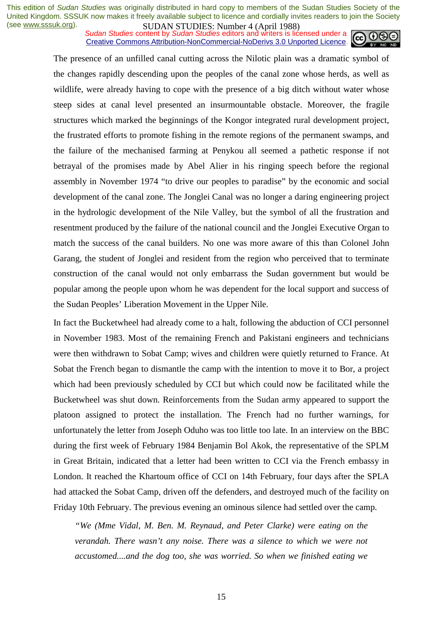**SUDAN STUDES. NUTTER FOR TAPPER CONTROL**<br>Sudan Studies content by Sudan Studies editors and writers is licensed under a Creative Commons Attribution-NonCommercial-NoDerivs 3.0 Unported Licence.



The presence of an unfilled canal cutting across the Nilotic plain was a dramatic symbol of the changes rapidly descending upon the peoples of the canal zone whose herds, as well as wildlife, were already having to cope with the presence of a big ditch without water whose steep sides at canal level presented an insurmountable obstacle. Moreover, the fragile structures which marked the beginnings of the Kongor integrated rural development project, the frustrated efforts to promote fishing in the remote regions of the permanent swamps, and the failure of the mechanised farming at Penykou all seemed a pathetic response if not betrayal of the promises made by Abel Alier in his ringing speech before the regional assembly in November 1974 "to drive our peoples to paradise" by the economic and social development of the canal zone. The Jonglei Canal was no longer a daring engineering project in the hydrologic development of the Nile Valley, but the symbol of all the frustration and resentment produced by the failure of the national council and the Jonglei Executive Organ to match the success of the canal builders. No one was more aware of this than Colonel John Garang, the student of Jonglei and resident from the region who perceived that to terminate construction of the canal would not only embarrass the Sudan government but would be popular among the people upon whom he was dependent for the local support and success of the Sudan Peoples' Liberation Movement in the Upper Nile.

In fact the Bucketwheel had already come to a halt, following the abduction of CCI personnel in November 1983. Most of the remaining French and Pakistani engineers and technicians were then withdrawn to Sobat Camp; wives and children were quietly returned to France. At Sobat the French began to dismantle the camp with the intention to move it to Bor, a project which had been previously scheduled by CCI but which could now be facilitated while the Bucketwheel was shut down. Reinforcements from the Sudan army appeared to support the platoon assigned to protect the installation. The French had no further warnings, for unfortunately the letter from Joseph Oduho was too little too late. In an interview on the BBC during the first week of February 1984 Benjamin Bol Akok, the representative of the SPLM in Great Britain, indicated that a letter had been written to CCI via the French embassy in London. It reached the Khartoum office of CCI on 14th February, four days after the SPLA had attacked the Sobat Camp, driven off the defenders, and destroyed much of the facility on Friday 10th February. The previous evening an ominous silence had settled over the camp.

*"We (Mme Vidal, M. Ben. M. Reynaud, and Peter Clarke) were eating on the verandah. There wasn't any noise. There was a silence to which we were not accustomed....and the dog too, she was worried. So when we finished eating we*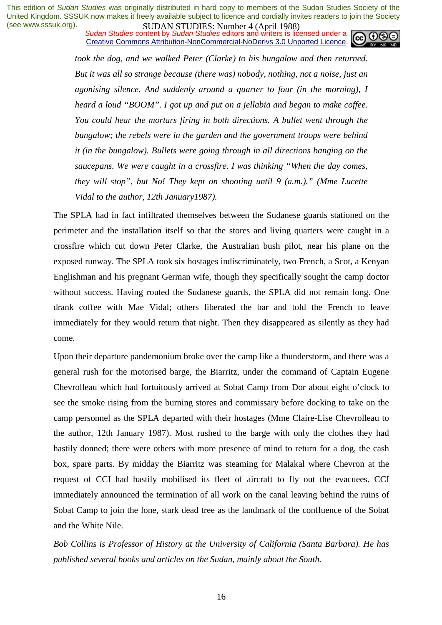*Sudan Studies* content by *Sudan Studies* editors and writers is licensed under a Creative Commons Attribution-NonCommercial-NoDerivs 3.0 Unported Licence.



*took the dog, and we walked Peter (Clarke) to his bungalow and then returned. But it was all so strange because (there was) nobody, nothing, not a noise, just an agonising silence. And suddenly around a quarter to four (in the morning), I heard a loud "BOOM". I got up and put on a jellabia and began to make coffee. You could hear the mortars firing in both directions. A bullet went through the bungalow; the rebels were in the garden and the government troops were behind it (in the bungalow). Bullets were going through in all directions banging on the saucepans. We were caught in a crossfire. I was thinking "When the day comes, they will stop", but No! They kept on shooting until 9 (a.m.)." (Mme Lucette Vidal to the author, 12th January1987).* 

The SPLA had in fact infiltrated themselves between the Sudanese guards stationed on the perimeter and the installation itself so that the stores and living quarters were caught in a crossfire which cut down Peter Clarke, the Australian bush pilot, near his plane on the exposed runway. The SPLA took six hostages indiscriminately, two French, a Scot, a Kenyan Englishman and his pregnant German wife, though they specifically sought the camp doctor without success. Having routed the Sudanese guards, the SPLA did not remain long. One drank coffee with Mae Vidal; others liberated the bar and told the French to leave immediately for they would return that night. Then they disappeared as silently as they had come.

Upon their departure pandemonium broke over the camp like a thunderstorm, and there was a general rush for the motorised barge, the Biarritz, under the command of Captain Eugene Chevrolleau which had fortuitously arrived at Sobat Camp from Dor about eight o'clock to see the smoke rising from the burning stores and commissary before docking to take on the camp personnel as the SPLA departed with their hostages (Mme Claire-Lise Chevrolleau to the author, 12th January 1987). Most rushed to the barge with only the clothes they had hastily donned; there were others with more presence of mind to return for a dog, the cash box, spare parts. By midday the Biarritz was steaming for Malakal where Chevron at the request of CCI had hastily mobilised its fleet of aircraft to fly out the evacuees. CCI immediately announced the termination of all work on the canal leaving behind the ruins of Sobat Camp to join the lone, stark dead tree as the landmark of the confluence of the Sobat and the White Nile.

*Bob Collins is Professor of History at the University of California (Santa Barbara). He has published several books and articles on the Sudan, mainly about the South.*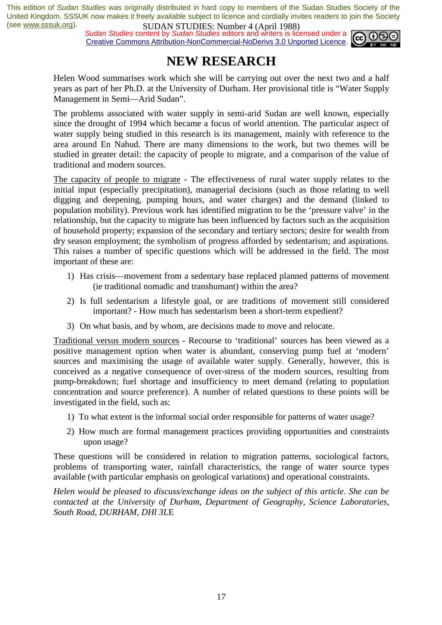**SUDAN STUDES:** PRIMITED: PRIMITED: SUDAN STUDIES: PRIMITED: Sudan Studies<br>*Sudan Studies* editors and writers is licensed under a **company** Creative Commons Attribution-NonCommercial-NoDerivs 3.0 Unported Licence.



### **NEW RESEARCH**

Helen Wood summarises work which she will be carrying out over the next two and a half years as part of her Ph.D. at the University of Durham. Her provisional title is "Water Supply Management in Semi—Arid Sudan".

The problems associated with water supply in semi-arid Sudan are well known, especially since the drought of 1994 which became a focus of world attention. The particular aspect of water supply being studied in this research is its management, mainly with reference to the area around En Nahud. There are many dimensions to the work, but two themes will be studied in greater detail: the capacity of people to migrate, and a comparison of the value of traditional and modern sources.

The capacity of people to migrate - The effectiveness of rural water supply relates to the initial input (especially precipitation), managerial decisions (such as those relating to well digging and deepening, pumping hours, and water charges) and the demand (linked to population mobility). Previous work has identified migration to be the 'pressure valve' in the relationship, but the capacity to migrate has been influenced by factors such as the acquisition of household property; expansion of the secondary and tertiary sectors; desire for wealth from dry season employment; the symbolism of progress afforded by sedentarism; and aspirations. This raises a number of specific questions which will be addressed in the field. The most important of these are:

- 1) Has crisis—movement from a sedentary base replaced planned patterns of movement (ie traditional nomadic and transhumant) within the area?
- 2) Is full sedentarism a lifestyle goal, or are traditions of movement still considered important? - How much has sedentarism been a short-term expedient?
- 3) On what basis, and by whom, are decisions made to move and relocate.

Traditional versus modern sources - Recourse to 'traditional' sources has been viewed as a positive management option when water is abundant, conserving pump fuel at 'modern' sources and maximising the usage of available water supply. Generally, however, this is conceived as a negative consequence of over-stress of the modern sources, resulting from pump-breakdown; fuel shortage and insufficiency to meet demand (relating to population concentration and source preference). A number of related questions to these points will be investigated in the field, such as:

- 1) To what extent is the informal social order responsible for patterns of water usage?
- 2) How much are formal management practices providing opportunities and constraints upon usage?

These questions will be considered in relation to migration patterns, sociological factors, problems of transporting water, rainfall characteristics, the range of water source types available (with particular emphasis on geological variations) and operational constraints.

*Helen would be pleased to discuss/exchange ideas on the subject of this article. She can be contacted at the University of Durham, Department of Geography, Science Laboratories, South Road, DURHAM, DHl 3L*E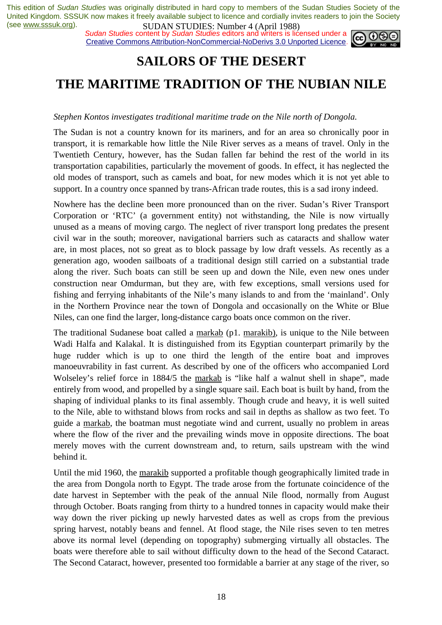*Sudan Studies* content by *Sudan Studies* editors and writers is licensed under a Creative Commons Attribution-NonCommercial-NoDerivs 3.0 Unported Licence.



### **SAILORS OF THE DESERT**

## **THE MARITIME TRADITION OF THE NUBIAN NILE**

### *Stephen Kontos investigates traditional maritime trade on the Nile north of Dongola.*

The Sudan is not a country known for its mariners, and for an area so chronically poor in transport, it is remarkable how little the Nile River serves as a means of travel. Only in the Twentieth Century, however, has the Sudan fallen far behind the rest of the world in its transportation capabilities, particularly the movement of goods. In effect, it has neglected the old modes of transport, such as camels and boat, for new modes which it is not yet able to support. In a country once spanned by trans-African trade routes, this is a sad irony indeed.

Nowhere has the decline been more pronounced than on the river. Sudan's River Transport Corporation or 'RTC' (a government entity) not withstanding, the Nile is now virtually unused as a means of moving cargo. The neglect of river transport long predates the present civil war in the south; moreover, navigational barriers such as cataracts and shallow water are, in most places, not so great as to block passage by low draft vessels. As recently as a generation ago, wooden sailboats of a traditional design still carried on a substantial trade along the river. Such boats can still be seen up and down the Nile, even new ones under construction near Omdurman, but they are, with few exceptions, small versions used for fishing and ferrying inhabitants of the Nile's many islands to and from the 'mainland'. Only in the Northern Province near the town of Dongola and occasionally on the White or Blue Niles, can one find the larger, long-distance cargo boats once common on the river.

The traditional Sudanese boat called a markab (p1. marakib), is unique to the Nile between Wadi Halfa and Kalakal. It is distinguished from its Egyptian counterpart primarily by the huge rudder which is up to one third the length of the entire boat and improves manoeuvrability in fast current. As described by one of the officers who accompanied Lord Wolseley's relief force in 1884/5 the markab is "like half a walnut shell in shape", made entirely from wood, and propelled by a single square sail. Each boat is built by hand, from the shaping of individual planks to its final assembly. Though crude and heavy, it is well suited to the Nile, able to withstand blows from rocks and sail in depths as shallow as two feet. To guide a markab, the boatman must negotiate wind and current, usually no problem in areas where the flow of the river and the prevailing winds move in opposite directions. The boat merely moves with the current downstream and, to return, sails upstream with the wind behind it.

Until the mid 1960, the marakib supported a profitable though geographically limited trade in the area from Dongola north to Egypt. The trade arose from the fortunate coincidence of the date harvest in September with the peak of the annual Nile flood, normally from August through October. Boats ranging from thirty to a hundred tonnes in capacity would make their way down the river picking up newly harvested dates as well as crops from the previous spring harvest, notably beans and fennel. At flood stage, the Nile rises seven to ten metres above its normal level (depending on topography) submerging virtually all obstacles. The boats were therefore able to sail without difficulty down to the head of the Second Cataract. The Second Cataract, however, presented too formidable a barrier at any stage of the river, so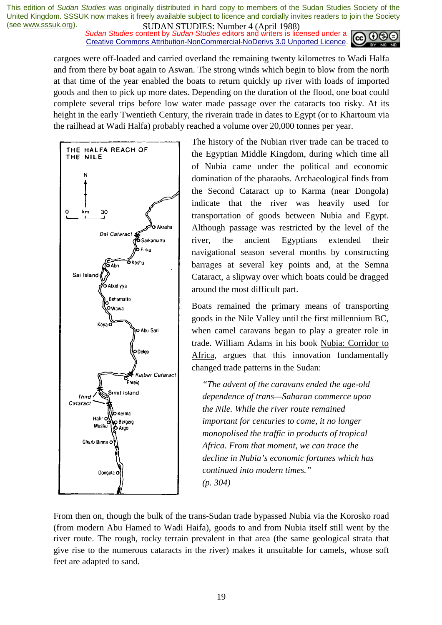*Sudan Studies* content by *Sudan Studies* editors and writers is licensed under a Creative Commons Attribution-NonCommercial-NoDerivs 3.0 Unported Licence.



cargoes were off-loaded and carried overland the remaining twenty kilometres to Wadi Halfa and from there by boat again to Aswan. The strong winds which begin to blow from the north at that time of the year enabled the boats to return quickly up river with loads of imported goods and then to pick up more dates. Depending on the duration of the flood, one boat could complete several trips before low water made passage over the cataracts too risky. At its height in the early Twentieth Century, the riverain trade in dates to Egypt (or to Khartoum via the railhead at Wadi Halfa) probably reached a volume over 20,000 tonnes per year.



The history of the Nubian river trade can be traced to the Egyptian Middle Kingdom, during which time all of Nubia came under the political and economic domination of the pharaohs. Archaeological finds from the Second Cataract up to Karma (near Dongola) indicate that the river was heavily used for transportation of goods between Nubia and Egypt. Although passage was restricted by the level of the river, the ancient Egyptians extended their navigational season several months by constructing barrages at several key points and, at the Semna Cataract, a slipway over which boats could be dragged around the most difficult part.

Boats remained the primary means of transporting goods in the Nile Valley until the first millennium BC, when camel caravans began to play a greater role in trade. William Adams in his book Nubia: Corridor to Africa, argues that this innovation fundamentally changed trade patterns in the Sudan:

*"The advent of the caravans ended the age-old dependence of trans—Saharan commerce upon the Nile. While the river route remained important for centuries to come, it no longer monopolised the traffic in products of tropical Africa. From that moment, we can trace the decline in Nubia's economic fortunes which has continued into modern times." (p. 304)* 

From then on, though the bulk of the trans-Sudan trade bypassed Nubia via the Korosko road (from modern Abu Hamed to Wadi Haifa), goods to and from Nubia itself still went by the river route. The rough, rocky terrain prevalent in that area (the same geological strata that give rise to the numerous cataracts in the river) makes it unsuitable for camels, whose soft feet are adapted to sand.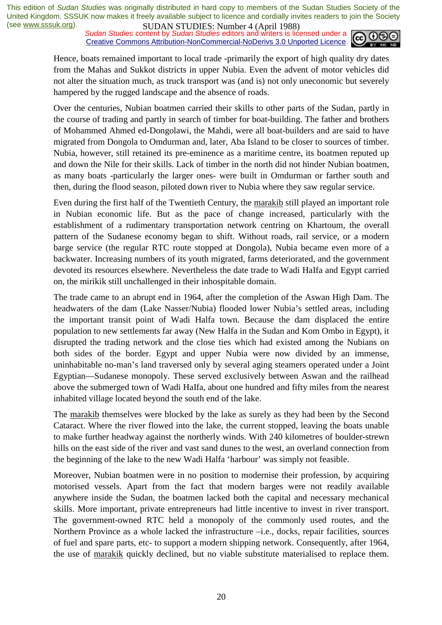*Sudan Studies* content by *Sudan Studies* editors and writers is licensed under a Creative Commons Attribution-NonCommercial-NoDerivs 3.0 Unported Licence.



Hence, boats remained important to local trade -primarily the export of high quality dry dates from the Mahas and Sukkot districts in upper Nubia. Even the advent of motor vehicles did not alter the situation much, as truck transport was (and is) not only uneconomic but severely hampered by the rugged landscape and the absence of roads.

Over the centuries, Nubian boatmen carried their skills to other parts of the Sudan, partly in the course of trading and partly in search of timber for boat-building. The father and brothers of Mohammed Ahmed ed-Dongolawi, the Mahdi, were all boat-builders and are said to have migrated from Dongola to Omdurman and, later, Aba Island to be closer to sources of timber. Nubia, however, still retained its pre-eminence as a maritime centre, its boatmen reputed up and down the Nile for their skills. Lack of timber in the north did not hinder Nubian boatmen, as many boats -particularly the larger ones- were built in Omdurman or farther south and then, during the flood season, piloted down river to Nubia where they saw regular service.

Even during the first half of the Twentieth Century, the marakib still played an important role in Nubian economic life. But as the pace of change increased, particularly with the establishment of a rudimentary transportation network centring on Khartoum, the overall pattern of the Sudanese economy began to shift. Without roads, rail service, or a modern barge service (the regular RTC route stopped at Dongola), Nubia became even more of a backwater. Increasing numbers of its youth migrated, farms deteriorated, and the government devoted its resources elsewhere. Nevertheless the date trade to Wadi HaIfa and Egypt carried on, the mirikik still unchallenged in their inhospitable domain.

The trade came to an abrupt end in 1964, after the completion of the Aswan High Dam. The headwaters of the dam (Lake Nasser/Nubia) flooded lower Nubia's settled areas, including the important transit point of Wadi Halfa town. Because the dam displaced the entire population to new settlements far away (New Halfa in the Sudan and Kom Ombo in Egypt), it disrupted the trading network and the close ties which had existed among the Nubians on both sides of the border. Egypt and upper Nubia were now divided by an immense, uninhabitable no-man's land traversed only by several aging steamers operated under a Joint Egyptian—Sudanese monopoly. These served exclusively between Aswan and the railhead above the submerged town of Wadi HaIfa, about one hundred and fifty miles from the nearest inhabited village located beyond the south end of the lake.

The marakib themselves were blocked by the lake as surely as they had been by the Second Cataract. Where the river flowed into the lake, the current stopped, leaving the boats unable to make further headway against the northerly winds. With 240 kilometres of boulder-strewn hills on the east side of the river and vast sand dunes to the west, an overland connection from the beginning of the lake to the new Wadi Halfa 'harbour' was simply not feasible.

Moreover, Nubian boatmen were in no position to modernise their profession, by acquiring motorised vessels. Apart from the fact that modern barges were not readily available anywhere inside the Sudan, the boatmen lacked both the capital and necessary mechanical skills. More important, private entrepreneurs had little incentive to invest in river transport. The government-owned RTC held a monopoly of the commonly used routes, and the Northern Province as a whole lacked the infrastructure –i.e., docks, repair facilities, sources of fuel and spare parts, etc- to support a modern shipping network. Consequently, after 1964, the use of marakik quickly declined, but no viable substitute materialised to replace them.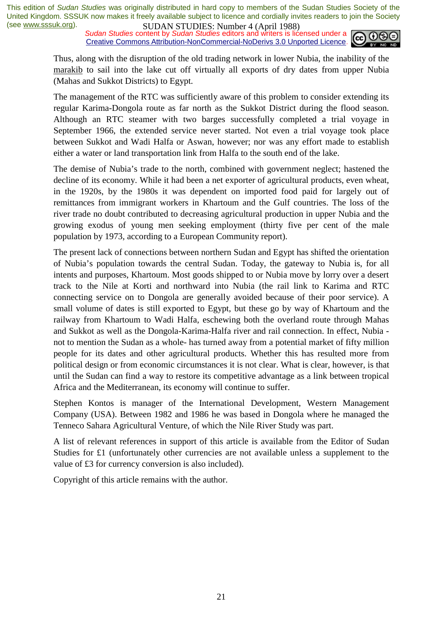**SUDAN STUDIES:** Number 4 (Apin 1700)<br>*Sudan Studies* content by *Sudan Studies* editors and writers is licensed under a Creative Commons Attribution-NonCommercial-NoDerivs 3.0 Unported Licence.



Thus, along with the disruption of the old trading network in lower Nubia, the inability of the marakib to sail into the lake cut off virtually all exports of dry dates from upper Nubia (Mahas and Sukkot Districts) to Egypt.

The management of the RTC was sufficiently aware of this problem to consider extending its regular Karima-Dongola route as far north as the Sukkot District during the flood season. Although an RTC steamer with two barges successfully completed a trial voyage in September 1966, the extended service never started. Not even a trial voyage took place between Sukkot and Wadi Halfa or Aswan, however; nor was any effort made to establish either a water or land transportation link from Halfa to the south end of the lake.

The demise of Nubia's trade to the north, combined with government neglect; hastened the decline of its economy. While it had been a net exporter of agricultural products, even wheat, in the 1920s, by the 1980s it was dependent on imported food paid for largely out of remittances from immigrant workers in Khartoum and the Gulf countries. The loss of the river trade no doubt contributed to decreasing agricultural production in upper Nubia and the growing exodus of young men seeking employment (thirty five per cent of the male population by 1973, according to a European Community report).

The present lack of connections between northern Sudan and Egypt has shifted the orientation of Nubia's population towards the central Sudan. Today, the gateway to Nubia is, for all intents and purposes, Khartoum. Most goods shipped to or Nubia move by lorry over a desert track to the Nile at Korti and northward into Nubia (the rail link to Karima and RTC connecting service on to Dongola are generally avoided because of their poor service). A small volume of dates is still exported to Egypt, but these go by way of Khartoum and the railway from Khartoum to Wadi Halfa, eschewing both the overland route through Mahas and Sukkot as well as the Dongola-Karima-Halfa river and rail connection. In effect, Nubia not to mention the Sudan as a whole- has turned away from a potential market of fifty million people for its dates and other agricultural products. Whether this has resulted more from political design or from economic circumstances it is not clear. What is clear, however, is that until the Sudan can find a way to restore its competitive advantage as a link between tropical Africa and the Mediterranean, its economy will continue to suffer.

Stephen Kontos is manager of the International Development, Western Management Company (USA). Between 1982 and 1986 he was based in Dongola where he managed the Tenneco Sahara Agricultural Venture, of which the Nile River Study was part.

A list of relevant references in support of this article is available from the Editor of Sudan Studies for £1 (unfortunately other currencies are not available unless a supplement to the value of £3 for currency conversion is also included).

Copyright of this article remains with the author.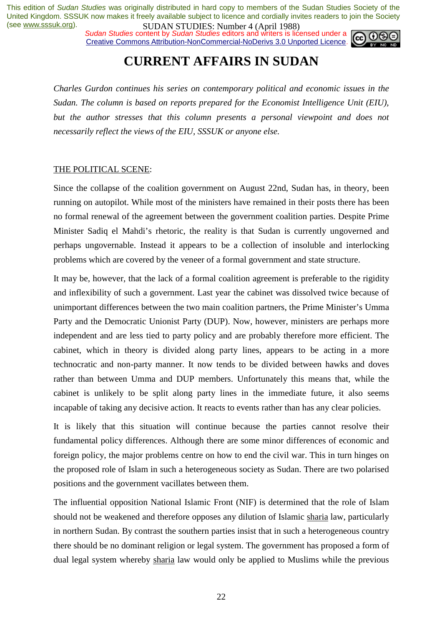**SUDAN STUDIES:** NUTTER (APIT 1700)<br>*Sudan Studies* content by *Sudan Studies* editors and writers is licensed under a Creative Commons Attribution-NonCommercial-NoDerivs 3.0 Unported Licence.



### **CURRENT AFFAIRS IN SUDAN**

*Charles Gurdon continues his series on contemporary political and economic issues in the Sudan. The column is based on reports prepared for the Economist Intelligence Unit (EIU), but the author stresses that this column presents a personal viewpoint and does not necessarily reflect the views of the EIU, SSSUK or anyone else.* 

#### THE POLITICAL SCENE:

Since the collapse of the coalition government on August 22nd, Sudan has, in theory, been running on autopilot. While most of the ministers have remained in their posts there has been no formal renewal of the agreement between the government coalition parties. Despite Prime Minister Sadiq el Mahdi's rhetoric, the reality is that Sudan is currently ungoverned and perhaps ungovernable. Instead it appears to be a collection of insoluble and interlocking problems which are covered by the veneer of a formal government and state structure.

It may be, however, that the lack of a formal coalition agreement is preferable to the rigidity and inflexibility of such a government. Last year the cabinet was dissolved twice because of unimportant differences between the two main coalition partners, the Prime Minister's Umma Party and the Democratic Unionist Party (DUP). Now, however, ministers are perhaps more independent and are less tied to party policy and are probably therefore more efficient. The cabinet, which in theory is divided along party lines, appears to be acting in a more technocratic and non-party manner. It now tends to be divided between hawks and doves rather than between Umma and DUP members. Unfortunately this means that, while the cabinet is unlikely to be split along party lines in the immediate future, it also seems incapable of taking any decisive action. It reacts to events rather than has any clear policies.

It is likely that this situation will continue because the parties cannot resolve their fundamental policy differences. Although there are some minor differences of economic and foreign policy, the major problems centre on how to end the civil war. This in turn hinges on the proposed role of Islam in such a heterogeneous society as Sudan. There are two polarised positions and the government vacillates between them.

The influential opposition National Islamic Front (NIF) is determined that the role of Islam should not be weakened and therefore opposes any dilution of Islamic sharia law, particularly in northern Sudan. By contrast the southern parties insist that in such a heterogeneous country there should be no dominant religion or legal system. The government has proposed a form of dual legal system whereby sharia law would only be applied to Muslims while the previous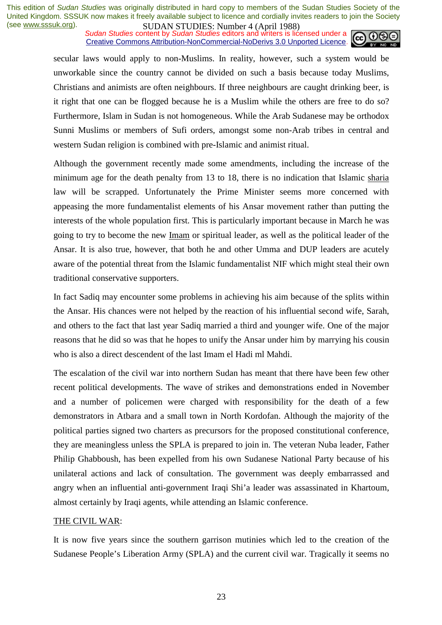**SUDAN STUDES. NUTTER FOR TAPPER CONTROL**<br>Sudan Studies content by Sudan Studies editors and writers is licensed under a Creative Commons Attribution-NonCommercial-NoDerivs 3.0 Unported Licence.



secular laws would apply to non-Muslims. In reality, however, such a system would be unworkable since the country cannot be divided on such a basis because today Muslims, Christians and animists are often neighbours. If three neighbours are caught drinking beer, is it right that one can be flogged because he is a Muslim while the others are free to do so? Furthermore, Islam in Sudan is not homogeneous. While the Arab Sudanese may be orthodox Sunni Muslims or members of Sufi orders, amongst some non-Arab tribes in central and western Sudan religion is combined with pre-Islamic and animist ritual.

Although the government recently made some amendments, including the increase of the minimum age for the death penalty from 13 to 18, there is no indication that Islamic sharia law will be scrapped. Unfortunately the Prime Minister seems more concerned with appeasing the more fundamentalist elements of his Ansar movement rather than putting the interests of the whole population first. This is particularly important because in March he was going to try to become the new Imam or spiritual leader, as well as the political leader of the Ansar. It is also true, however, that both he and other Umma and DUP leaders are acutely aware of the potential threat from the Islamic fundamentalist NIF which might steal their own traditional conservative supporters.

In fact Sadiq may encounter some problems in achieving his aim because of the splits within the Ansar. His chances were not helped by the reaction of his influential second wife, Sarah, and others to the fact that last year Sadiq married a third and younger wife. One of the major reasons that he did so was that he hopes to unify the Ansar under him by marrying his cousin who is also a direct descendent of the last Imam el Hadi ml Mahdi.

The escalation of the civil war into northern Sudan has meant that there have been few other recent political developments. The wave of strikes and demonstrations ended in November and a number of policemen were charged with responsibility for the death of a few demonstrators in Atbara and a small town in North Kordofan. Although the majority of the political parties signed two charters as precursors for the proposed constitutional conference, they are meaningless unless the SPLA is prepared to join in. The veteran Nuba leader, Father Philip Ghabboush, has been expelled from his own Sudanese National Party because of his unilateral actions and lack of consultation. The government was deeply embarrassed and angry when an influential anti-government Iraqi Shi'a leader was assassinated in Khartoum, almost certainly by Iraqi agents, while attending an Islamic conference.

### THE CIVIL WAR:

It is now five years since the southern garrison mutinies which led to the creation of the Sudanese People's Liberation Army (SPLA) and the current civil war. Tragically it seems no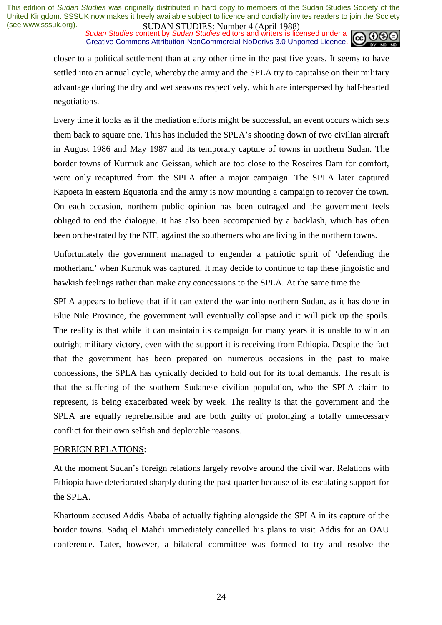**SUDAN STUDES.** NUTTER FOR THE LOOP Sudan Studies content by Sudan Studies editors and writers is licensed under a Creative Commons Attribution-NonCommercial-NoDerivs 3.0 Unported Licence.



closer to a political settlement than at any other time in the past five years. It seems to have settled into an annual cycle, whereby the army and the SPLA try to capitalise on their military advantage during the dry and wet seasons respectively, which are interspersed by half-hearted negotiations.

Every time it looks as if the mediation efforts might be successful, an event occurs which sets them back to square one. This has included the SPLA's shooting down of two civilian aircraft in August 1986 and May 1987 and its temporary capture of towns in northern Sudan. The border towns of Kurmuk and Geissan, which are too close to the Roseires Dam for comfort, were only recaptured from the SPLA after a major campaign. The SPLA later captured Kapoeta in eastern Equatoria and the army is now mounting a campaign to recover the town. On each occasion, northern public opinion has been outraged and the government feels obliged to end the dialogue. It has also been accompanied by a backlash, which has often been orchestrated by the NIF, against the southerners who are living in the northern towns.

Unfortunately the government managed to engender a patriotic spirit of 'defending the motherland' when Kurmuk was captured. It may decide to continue to tap these jingoistic and hawkish feelings rather than make any concessions to the SPLA. At the same time the

SPLA appears to believe that if it can extend the war into northern Sudan, as it has done in Blue Nile Province, the government will eventually collapse and it will pick up the spoils. The reality is that while it can maintain its campaign for many years it is unable to win an outright military victory, even with the support it is receiving from Ethiopia. Despite the fact that the government has been prepared on numerous occasions in the past to make concessions, the SPLA has cynically decided to hold out for its total demands. The result is that the suffering of the southern Sudanese civilian population, who the SPLA claim to represent, is being exacerbated week by week. The reality is that the government and the SPLA are equally reprehensible and are both guilty of prolonging a totally unnecessary conflict for their own selfish and deplorable reasons.

#### FOREIGN RELATIONS:

At the moment Sudan's foreign relations largely revolve around the civil war. Relations with Ethiopia have deteriorated sharply during the past quarter because of its escalating support for the SPLA.

Khartoum accused Addis Ababa of actually fighting alongside the SPLA in its capture of the border towns. Sadiq el Mahdi immediately cancelled his plans to visit Addis for an OAU conference. Later, however, a bilateral committee was formed to try and resolve the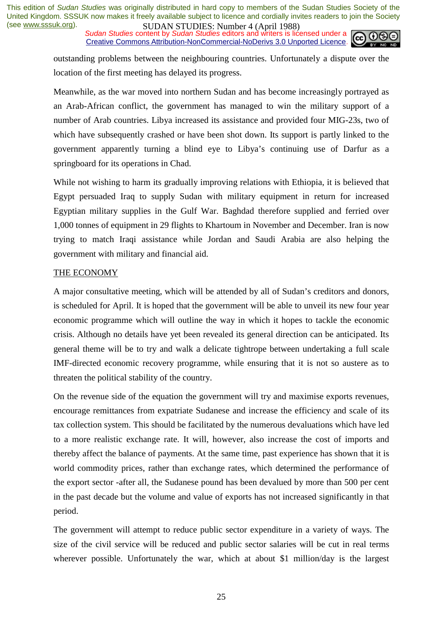**SUDAN STUDIES.** NUTTER FOR THE LOOP Sudan Studies content by Sudan Studies editors and writers is licensed under a Creative Commons Attribution-NonCommercial-NoDerivs 3.0 Unported Licence.



outstanding problems between the neighbouring countries. Unfortunately a dispute over the location of the first meeting has delayed its progress.

Meanwhile, as the war moved into northern Sudan and has become increasingly portrayed as an Arab-African conflict, the government has managed to win the military support of a number of Arab countries. Libya increased its assistance and provided four MIG-23s, two of which have subsequently crashed or have been shot down. Its support is partly linked to the government apparently turning a blind eye to Libya's continuing use of Darfur as a springboard for its operations in Chad.

While not wishing to harm its gradually improving relations with Ethiopia, it is believed that Egypt persuaded Iraq to supply Sudan with military equipment in return for increased Egyptian military supplies in the Gulf War. Baghdad therefore supplied and ferried over 1,000 tonnes of equipment in 29 flights to Khartoum in November and December. Iran is now trying to match Iraqi assistance while Jordan and Saudi Arabia are also helping the government with military and financial aid.

#### THE ECONOMY

A major consultative meeting, which will be attended by all of Sudan's creditors and donors, is scheduled for April. It is hoped that the government will be able to unveil its new four year economic programme which will outline the way in which it hopes to tackle the economic crisis. Although no details have yet been revealed its general direction can be anticipated. Its general theme will be to try and walk a delicate tightrope between undertaking a full scale IMF-directed economic recovery programme, while ensuring that it is not so austere as to threaten the political stability of the country.

On the revenue side of the equation the government will try and maximise exports revenues, encourage remittances from expatriate Sudanese and increase the efficiency and scale of its tax collection system. This should be facilitated by the numerous devaluations which have led to a more realistic exchange rate. It will, however, also increase the cost of imports and thereby affect the balance of payments. At the same time, past experience has shown that it is world commodity prices, rather than exchange rates, which determined the performance of the export sector -after all, the Sudanese pound has been devalued by more than 500 per cent in the past decade but the volume and value of exports has not increased significantly in that period.

The government will attempt to reduce public sector expenditure in a variety of ways. The size of the civil service will be reduced and public sector salaries will be cut in real terms wherever possible. Unfortunately the war, which at about \$1 million/day is the largest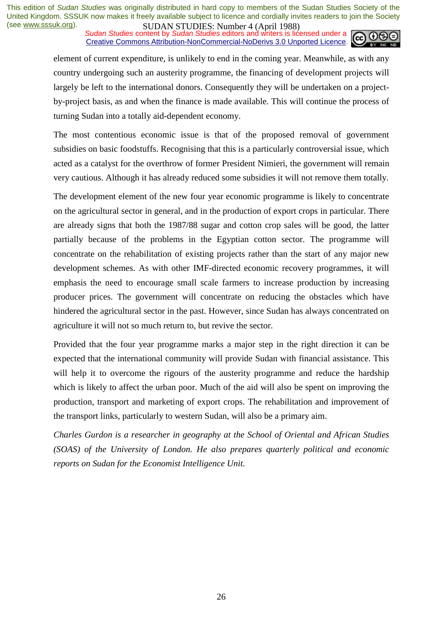**SUDAN STUDES.** NUTTER FOR THE LOOP Sudan Studies content by Sudan Studies editors and writers is licensed under a Creative Commons Attribution-NonCommercial-NoDerivs 3.0 Unported Licence.



element of current expenditure, is unlikely to end in the coming year. Meanwhile, as with any country undergoing such an austerity programme, the financing of development projects will largely be left to the international donors. Consequently they will be undertaken on a projectby-project basis, as and when the finance is made available. This will continue the process of turning Sudan into a totally aid-dependent economy.

The most contentious economic issue is that of the proposed removal of government subsidies on basic foodstuffs. Recognising that this is a particularly controversial issue, which acted as a catalyst for the overthrow of former President Nimieri, the government will remain very cautious. Although it has already reduced some subsidies it will not remove them totally.

The development element of the new four year economic programme is likely to concentrate on the agricultural sector in general, and in the production of export crops in particular. There are already signs that both the 1987/88 sugar and cotton crop sales will be good, the latter partially because of the problems in the Egyptian cotton sector. The programme will concentrate on the rehabilitation of existing projects rather than the start of any major new development schemes. As with other IMF-directed economic recovery programmes, it will emphasis the need to encourage small scale farmers to increase production by increasing producer prices. The government will concentrate on reducing the obstacles which have hindered the agricultural sector in the past. However, since Sudan has always concentrated on agriculture it will not so much return to, but revive the sector.

Provided that the four year programme marks a major step in the right direction it can be expected that the international community will provide Sudan with financial assistance. This will help it to overcome the rigours of the austerity programme and reduce the hardship which is likely to affect the urban poor. Much of the aid will also be spent on improving the production, transport and marketing of export crops. The rehabilitation and improvement of the transport links, particularly to western Sudan, will also be a primary aim.

*Charles Gurdon is a researcher in geography at the School of Oriental and African Studies (SOAS) of the University of London. He also prepares quarterly political and economic reports on Sudan for the Economist Intelligence Unit.*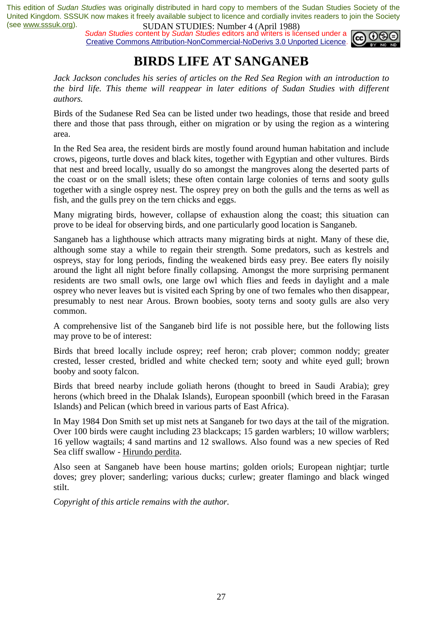*Sudan Studies* content by *Sudan Studies* editors and writers is licensed under a Creative Commons Attribution-NonCommercial-NoDerivs 3.0 Unported Licence.



## **BIRDS LIFE AT SANGANEB**

*Jack Jackson concludes his series of articles on the Red Sea Region with an introduction to the bird life. This theme will reappear in later editions of Sudan Studies with different authors.* 

Birds of the Sudanese Red Sea can be listed under two headings, those that reside and breed there and those that pass through, either on migration or by using the region as a wintering area.

In the Red Sea area, the resident birds are mostly found around human habitation and include crows, pigeons, turtle doves and black kites, together with Egyptian and other vultures. Birds that nest and breed locally, usually do so amongst the mangroves along the deserted parts of the coast or on the small islets; these often contain large colonies of terns and sooty gulls together with a single osprey nest. The osprey prey on both the gulls and the terns as well as fish, and the gulls prey on the tern chicks and eggs.

Many migrating birds, however, collapse of exhaustion along the coast; this situation can prove to be ideal for observing birds, and one particularly good location is Sanganeb.

Sanganeb has a lighthouse which attracts many migrating birds at night. Many of these die, although some stay a while to regain their strength. Some predators, such as kestrels and ospreys, stay for long periods, finding the weakened birds easy prey. Bee eaters fly noisily around the light all night before finally collapsing. Amongst the more surprising permanent residents are two small owls, one large owl which flies and feeds in daylight and a male osprey who never leaves but is visited each Spring by one of two females who then disappear, presumably to nest near Arous. Brown boobies, sooty terns and sooty gulls are also very common.

A comprehensive list of the Sanganeb bird life is not possible here, but the following lists may prove to be of interest:

Birds that breed locally include osprey; reef heron; crab plover; common noddy; greater crested, lesser crested, bridled and white checked tern; sooty and white eyed gull; brown booby and sooty falcon.

Birds that breed nearby include goliath herons (thought to breed in Saudi Arabia); grey herons (which breed in the Dhalak Islands), European spoonbill (which breed in the Farasan Islands) and Pelican (which breed in various parts of East Africa).

In May 1984 Don Smith set up mist nets at Sanganeb for two days at the tail of the migration. Over 100 birds were caught including 23 blackcaps; 15 garden warblers; 10 willow warblers; 16 yellow wagtails; 4 sand martins and 12 swallows. Also found was a new species of Red Sea cliff swallow - Hirundo perdita.

Also seen at Sanganeb have been house martins; golden oriols; European nightjar; turtle doves; grey plover; sanderling; various ducks; curlew; greater flamingo and black winged stilt.

*Copyright of this article remains with the author.*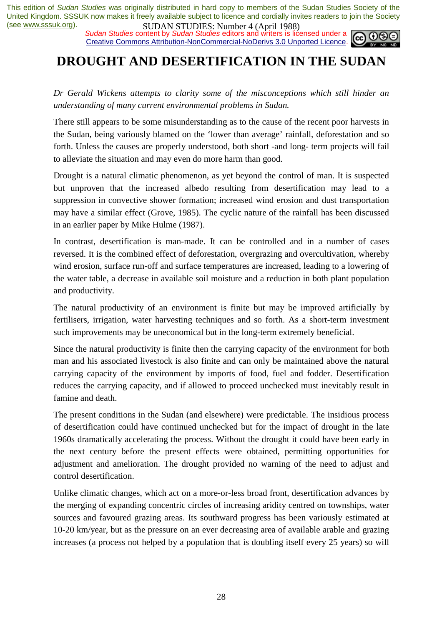*Sudan Studies* content by *Sudan Studies* editors and writers is licensed under a Creative Commons Attribution-NonCommercial-NoDerivs 3.0 Unported Licence.



## **DROUGHT AND DESERTIFICATION IN THE SUDAN**

*Dr Gerald Wickens attempts to clarity some of the misconceptions which still hinder an understanding of many current environmental problems in Sudan.* 

There still appears to be some misunderstanding as to the cause of the recent poor harvests in the Sudan, being variously blamed on the 'lower than average' rainfall, deforestation and so forth. Unless the causes are properly understood, both short -and long- term projects will fail to alleviate the situation and may even do more harm than good.

Drought is a natural climatic phenomenon, as yet beyond the control of man. It is suspected but unproven that the increased albedo resulting from desertification may lead to a suppression in convective shower formation; increased wind erosion and dust transportation may have a similar effect (Grove, 1985). The cyclic nature of the rainfall has been discussed in an earlier paper by Mike Hulme (1987).

In contrast, desertification is man-made. It can be controlled and in a number of cases reversed. It is the combined effect of deforestation, overgrazing and overcultivation, whereby wind erosion, surface run-off and surface temperatures are increased, leading to a lowering of the water table, a decrease in available soil moisture and a reduction in both plant population and productivity.

The natural productivity of an environment is finite but may be improved artificially by fertilisers, irrigation, water harvesting techniques and so forth. As a short-term investment such improvements may be uneconomical but in the long-term extremely beneficial.

Since the natural productivity is finite then the carrying capacity of the environment for both man and his associated livestock is also finite and can only be maintained above the natural carrying capacity of the environment by imports of food, fuel and fodder. Desertification reduces the carrying capacity, and if allowed to proceed unchecked must inevitably result in famine and death.

The present conditions in the Sudan (and elsewhere) were predictable. The insidious process of desertification could have continued unchecked but for the impact of drought in the late 1960s dramatically accelerating the process. Without the drought it could have been early in the next century before the present effects were obtained, permitting opportunities for adjustment and amelioration. The drought provided no warning of the need to adjust and control desertification.

Unlike climatic changes, which act on a more-or-less broad front, desertification advances by the merging of expanding concentric circles of increasing aridity centred on townships, water sources and favoured grazing areas. Its southward progress has been variously estimated at 10-20 km/year, but as the pressure on an ever decreasing area of available arable and grazing increases (a process not helped by a population that is doubling itself every 25 years) so will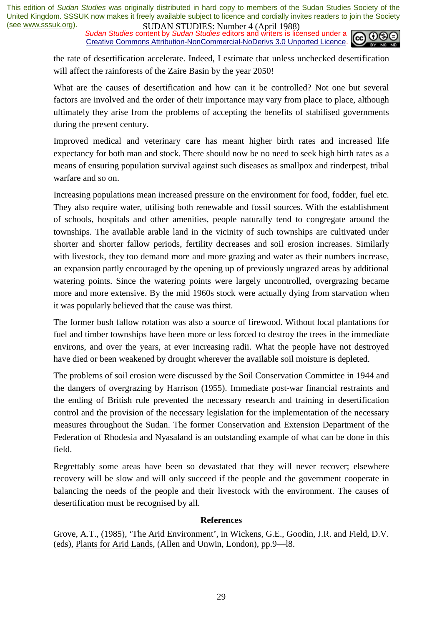*Sudan Studies* content by *Sudan Studies* editors and writers is licensed under a Creative Commons Attribution-NonCommercial-NoDerivs 3.0 Unported Licence.



the rate of desertification accelerate. Indeed, I estimate that unless unchecked desertification will affect the rainforests of the Zaire Basin by the year 2050!

What are the causes of desertification and how can it be controlled? Not one but several factors are involved and the order of their importance may vary from place to place, although ultimately they arise from the problems of accepting the benefits of stabilised governments during the present century.

Improved medical and veterinary care has meant higher birth rates and increased life expectancy for both man and stock. There should now be no need to seek high birth rates as a means of ensuring population survival against such diseases as smallpox and rinderpest, tribal warfare and so on.

Increasing populations mean increased pressure on the environment for food, fodder, fuel etc. They also require water, utilising both renewable and fossil sources. With the establishment of schools, hospitals and other amenities, people naturally tend to congregate around the townships. The available arable land in the vicinity of such townships are cultivated under shorter and shorter fallow periods, fertility decreases and soil erosion increases. Similarly with livestock, they too demand more and more grazing and water as their numbers increase, an expansion partly encouraged by the opening up of previously ungrazed areas by additional watering points. Since the watering points were largely uncontrolled, overgrazing became more and more extensive. By the mid 1960s stock were actually dying from starvation when it was popularly believed that the cause was thirst.

The former bush fallow rotation was also a source of firewood. Without local plantations for fuel and timber townships have been more or less forced to destroy the trees in the immediate environs, and over the years, at ever increasing radii. What the people have not destroyed have died or been weakened by drought wherever the available soil moisture is depleted.

The problems of soil erosion were discussed by the Soil Conservation Committee in 1944 and the dangers of overgrazing by Harrison (1955). Immediate post-war financial restraints and the ending of British rule prevented the necessary research and training in desertification control and the provision of the necessary legislation for the implementation of the necessary measures throughout the Sudan. The former Conservation and Extension Department of the Federation of Rhodesia and Nyasaland is an outstanding example of what can be done in this field.

Regrettably some areas have been so devastated that they will never recover; elsewhere recovery will be slow and will only succeed if the people and the government cooperate in balancing the needs of the people and their livestock with the environment. The causes of desertification must be recognised by all.

### **References**

Grove, A.T., (1985), 'The Arid Environment', in Wickens, G.E., Goodin, J.R. and Field, D.V. (eds), Plants for Arid Lands, (Allen and Unwin, London), pp.9—l8.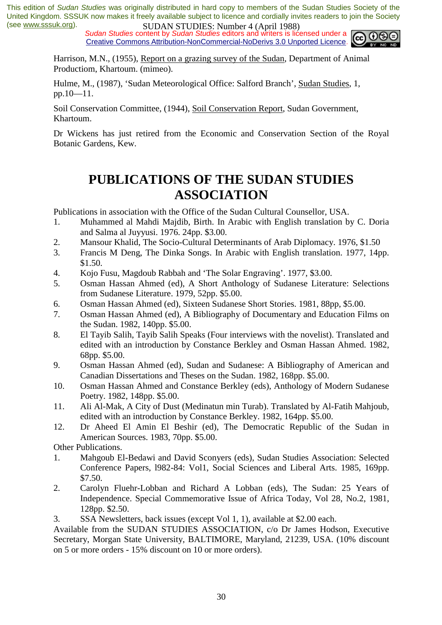**SUDAN STUDIES:** NUTTURE 4 (April 1700)<br>*Sudan Studies* content by *Sudan Studies* editors and writers is licensed under a Creative Commons Attribution-NonCommercial-NoDerivs 3.0 Unported Licence.



Harrison, M.N., (1955), Report on a grazing survey of the Sudan, Department of Animal Productiom, Khartoum. (mimeo).

Hulme, M., (1987), 'Sudan Meteorological Office: Salford Branch', Sudan Studies, 1, pp.10—11.

Soil Conservation Committee, (1944), Soil Conservation Report, Sudan Government, Khartoum.

Dr Wickens has just retired from the Economic and Conservation Section of the Royal Botanic Gardens, Kew.

## **PUBLICATIONS OF THE SUDAN STUDIES ASSOCIATION**

Publications in association with the Office of the Sudan Cultural Counsellor, USA.

- 1. Muhammed al Mahdi Majdib, Birth. In Arabic with English translation by C. Doria and Salma al Juyyusi. 1976. 24pp. \$3.00.
- 2. Mansour Khalid, The Socio-Cultural Determinants of Arab Diplomacy. 1976, \$1.50
- 3. Francis M Deng, The Dinka Songs. In Arabic with English translation. 1977, 14pp. \$1.50.
- 4. Kojo Fusu, Magdoub Rabbah and 'The Solar Engraving'. 1977, \$3.00.
- 5. Osman Hassan Ahmed (ed), A Short Anthology of Sudanese Literature: Selections from Sudanese Literature. 1979, 52pp. \$5.00.
- 6. Osman Hassan Ahmed (ed), Sixteen Sudanese Short Stories. 1981, 88pp, \$5.00.
- 7. Osman Hassan Ahmed (ed), A Bibliography of Documentary and Education Films on the Sudan. 1982, 140pp. \$5.00.
- 8. El Tayib Salih, Tayib Salih Speaks (Four interviews with the novelist). Translated and edited with an introduction by Constance Berkley and Osman Hassan Ahmed. 1982, 68pp. \$5.00.
- 9. Osman Hassan Ahmed (ed), Sudan and Sudanese: A Bibliography of American and Canadian Dissertations and Theses on the Sudan. 1982, 168pp. \$5.00.
- 10. Osman Hassan Ahmed and Constance Berkley (eds), Anthology of Modern Sudanese Poetry. 1982, 148pp. \$5.00.
- 11. Ali Al-Mak, A City of Dust (Medinatun min Turab). Translated by Al-Fatih Mahjoub, edited with an introduction by Constance Berkley. 1982, 164pp. \$5.00.
- 12. Dr Aheed El Amin El Beshir (ed), The Democratic Republic of the Sudan in American Sources. 1983, 70pp. \$5.00.

Other Publications.

- 1. Mahgoub El-Bedawi and David Sconyers (eds), Sudan Studies Association: Selected Conference Papers, l982-84: Vol1, Social Sciences and Liberal Arts. 1985, 169pp. \$7.50.
- 2. Carolyn Fluehr-Lobban and Richard A Lobban (eds), The Sudan: 25 Years of Independence. Special Commemorative Issue of Africa Today, Vol 28, No.2, 1981, 128pp. \$2.50.
- 3. SSA Newsletters, back issues (except Vol 1, 1), available at \$2.00 each.

Available from the SUDAN STUDIES ASSOCIATION, c/o Dr James Hodson, Executive Secretary, Morgan State University, BALTIMORE, Maryland, 21239, USA. (10% discount on 5 or more orders - 15% discount on 10 or more orders).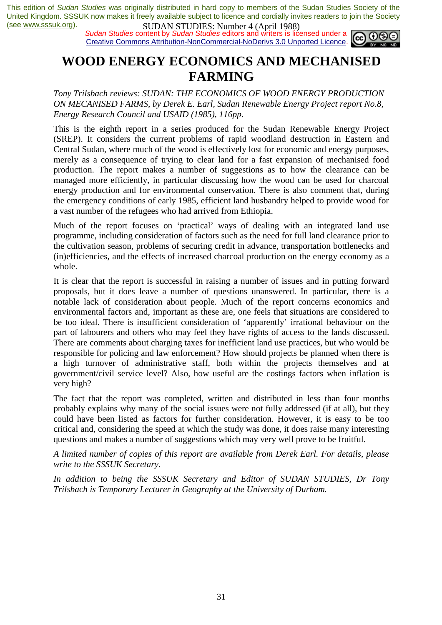*Sudan Studies* content by *Sudan Studies* editors and writers is licensed under a Creative Commons Attribution-NonCommercial-NoDerivs 3.0 Unported Licence.



## **WOOD ENERGY ECONOMICS AND MECHANISED FARMING**

*Tony Trilsbach reviews: SUDAN: THE ECONOMICS OF WOOD ENERGY PRODUCTION ON MECANISED FARMS, by Derek E. Earl, Sudan Renewable Energy Project report No.8, Energy Research Council and USAID (1985), 116pp.* 

This is the eighth report in a series produced for the Sudan Renewable Energy Project (SREP). It considers the current problems of rapid woodland destruction in Eastern and Central Sudan, where much of the wood is effectively lost for economic and energy purposes, merely as a consequence of trying to clear land for a fast expansion of mechanised food production. The report makes a number of suggestions as to how the clearance can be managed more efficiently, in particular discussing how the wood can be used for charcoal energy production and for environmental conservation. There is also comment that, during the emergency conditions of early 1985, efficient land husbandry helped to provide wood for a vast number of the refugees who had arrived from Ethiopia.

Much of the report focuses on 'practical' ways of dealing with an integrated land use programme, including consideration of factors such as the need for full land clearance prior to the cultivation season, problems of securing credit in advance, transportation bottlenecks and (in)efficiencies, and the effects of increased charcoal production on the energy economy as a whole.

It is clear that the report is successful in raising a number of issues and in putting forward proposals, but it does leave a number of questions unanswered. In particular, there is a notable lack of consideration about people. Much of the report concerns economics and environmental factors and, important as these are, one feels that situations are considered to be too ideal. There is insufficient consideration of 'apparently' irrational behaviour on the part of labourers and others who may feel they have rights of access to the lands discussed. There are comments about charging taxes for inefficient land use practices, but who would be responsible for policing and law enforcement? How should projects be planned when there is a high turnover of administrative staff, both within the projects themselves and at government/civil service level? Also, how useful are the costings factors when inflation is very high?

The fact that the report was completed, written and distributed in less than four months probably explains why many of the social issues were not fully addressed (if at all), but they could have been listed as factors for further consideration. However, it is easy to be too critical and, considering the speed at which the study was done, it does raise many interesting questions and makes a number of suggestions which may very well prove to be fruitful.

*A limited number of copies of this report are available from Derek Earl. For details, please write to the SSSUK Secretary.* 

*In addition to being the SSSUK Secretary and Editor of SUDAN STUDIES, Dr Tony Trilsbach is Temporary Lecturer in Geography at the University of Durham.*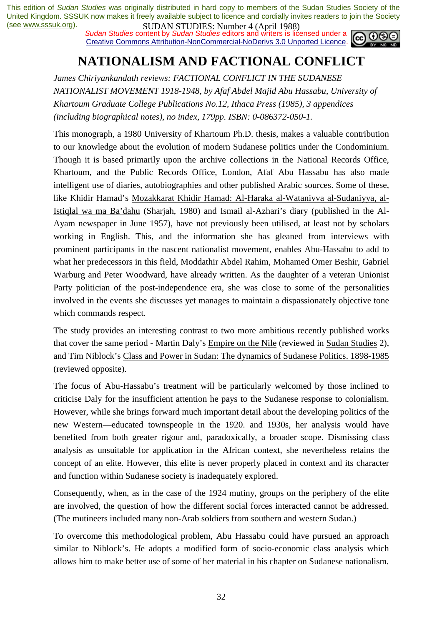**SUDAN STUDIES:** NUTTER FOR THE 17001<br>*Sudan Studies* content by *Sudan Studies* editors and writers is licensed under a Creative Commons Attribution-NonCommercial-NoDerivs 3.0 Unported Licence.



# **NATIONALISM AND FACTIONAL CONFLICT**

*James Chiriyankandath reviews: FACTIONAL CONFLICT IN THE SUDANESE NATIONALIST MOVEMENT 1918-1948, by Afaf Abdel Majid Abu Hassabu, University of Khartoum Graduate College Publications No.12, Ithaca Press (1985), 3 appendices (including biographical notes), no index, 179pp. ISBN: 0-086372-050-1.* 

This monograph, a 1980 University of Khartoum Ph.D. thesis, makes a valuable contribution to our knowledge about the evolution of modern Sudanese politics under the Condominium. Though it is based primarily upon the archive collections in the National Records Office, Khartoum, and the Public Records Office, London, Afaf Abu Hassabu has also made intelligent use of diaries, autobiographies and other published Arabic sources. Some of these, like Khidir Hamad's Mozakkarat Khidir Hamad: Al-Haraka al-Watanivva al-Sudaniyya, al-Istiqlal wa ma Ba'dahu (Sharjah, 1980) and Ismail al-Azhari's diary (published in the Al-Ayam newspaper in June 1957), have not previously been utilised, at least not by scholars working in English. This, and the information she has gleaned from interviews with prominent participants in the nascent nationalist movement, enables Abu-Hassabu to add to what her predecessors in this field, Moddathir Abdel Rahim, Mohamed Omer Beshir, Gabriel Warburg and Peter Woodward, have already written. As the daughter of a veteran Unionist Party politician of the post-independence era, she was close to some of the personalities involved in the events she discusses yet manages to maintain a dispassionately objective tone which commands respect.

The study provides an interesting contrast to two more ambitious recently published works that cover the same period - Martin Daly's Empire on the Nile (reviewed in Sudan Studies 2), and Tim Niblock's Class and Power in Sudan: The dynamics of Sudanese Politics. 1898-1985 (reviewed opposite).

The focus of Abu-Hassabu's treatment will be particularly welcomed by those inclined to criticise Daly for the insufficient attention he pays to the Sudanese response to colonialism. However, while she brings forward much important detail about the developing politics of the new Western—educated townspeople in the 1920. and 1930s, her analysis would have benefited from both greater rigour and, paradoxically, a broader scope. Dismissing class analysis as unsuitable for application in the African context, she nevertheless retains the concept of an elite. However, this elite is never properly placed in context and its character and function within Sudanese society is inadequately explored.

Consequently, when, as in the case of the 1924 mutiny, groups on the periphery of the elite are involved, the question of how the different social forces interacted cannot be addressed. (The mutineers included many non-Arab soldiers from southern and western Sudan.)

To overcome this methodological problem, Abu Hassabu could have pursued an approach similar to Niblock's. He adopts a modified form of socio-economic class analysis which allows him to make better use of some of her material in his chapter on Sudanese nationalism.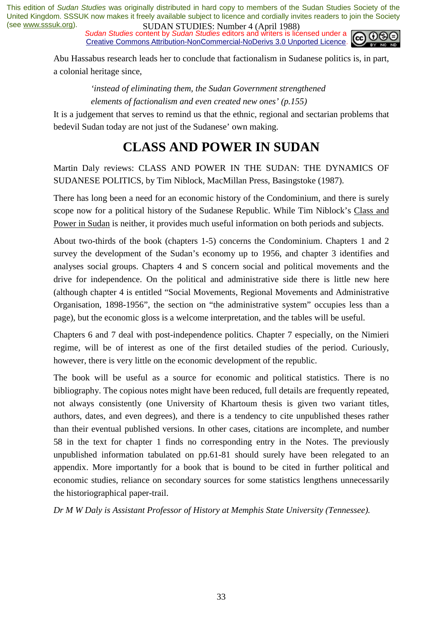**SUDAN STUDIES:** NUTTER (APIT 1700)<br>*Sudan Studies* content by *Sudan Studies* editors and writers is licensed under a Creative Commons Attribution-NonCommercial-NoDerivs 3.0 Unported Licence.



Abu Hassabus research leads her to conclude that factionalism in Sudanese politics is, in part, a colonial heritage since,

> *'instead of eliminating them, the Sudan Government strengthened elements of factionalism and even created new ones' (p.155)*

It is a judgement that serves to remind us that the ethnic, regional and sectarian problems that bedevil Sudan today are not just of the Sudanese' own making.

## **CLASS AND POWER IN SUDAN**

Martin Daly reviews: CLASS AND POWER IN THE SUDAN: THE DYNAMICS OF SUDANESE POLITICS, by Tim Niblock, MacMillan Press, Basingstoke (1987).

There has long been a need for an economic history of the Condominium, and there is surely scope now for a political history of the Sudanese Republic. While Tim Niblock's Class and Power in Sudan is neither, it provides much useful information on both periods and subjects.

About two-thirds of the book (chapters 1-5) concerns the Condominium. Chapters 1 and 2 survey the development of the Sudan's economy up to 1956, and chapter 3 identifies and analyses social groups. Chapters 4 and S concern social and political movements and the drive for independence. On the political and administrative side there is little new here (although chapter 4 is entitled "Social Movements, Regional Movements and Administrative Organisation, 1898-1956", the section on "the administrative system" occupies less than a page), but the economic gloss is a welcome interpretation, and the tables will be useful.

Chapters 6 and 7 deal with post-independence politics. Chapter 7 especially, on the Nimieri regime, will be of interest as one of the first detailed studies of the period. Curiously, however, there is very little on the economic development of the republic.

The book will be useful as a source for economic and political statistics. There is no bibliography. The copious notes might have been reduced, full details are frequently repeated, not always consistently (one University of Khartoum thesis is given two variant titles, authors, dates, and even degrees), and there is a tendency to cite unpublished theses rather than their eventual published versions. In other cases, citations are incomplete, and number 58 in the text for chapter 1 finds no corresponding entry in the Notes. The previously unpublished information tabulated on pp.61-81 should surely have been relegated to an appendix. More importantly for a book that is bound to be cited in further political and economic studies, reliance on secondary sources for some statistics lengthens unnecessarily the historiographical paper-trail.

*Dr M W Daly is Assistant Professor of History at Memphis State University (Tennessee).*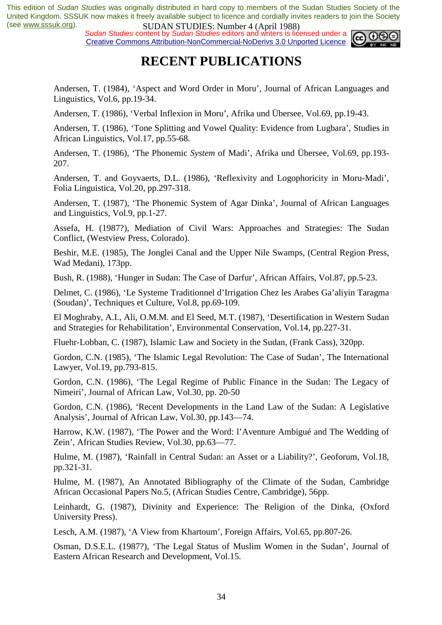**SUDAN STUDIES.** Number 4 (April 1700)<br>*Sudan Studies* content by *Sudan Studies* editors and writers is licensed under a Creative Commons Attribution-NonCommercial-NoDerivs 3.0 Unported Licence.



### **RECENT PUBLICATIONS**

Andersen, T. (1984), 'Aspect and Word Order in Moru', Journal of African Languages and Linguistics, Vol.6, pp.19-34.

Andersen, T. (1986), 'Verbal Inflexion in Moru', Afrika und Übersee, Vol.69, pp.19-43.

Andersen, T. (1986), 'Tone Splitting and Vowel Quality: Evidence from Lugbara', Studies in African Linguistics, Vol.17, pp.55-68.

Andersen, T. (1986), 'The Phonemic *System* of Madi', Afrika und Übersee, Vol.69, pp.193- 207.

Andersen, T. and Goyvaerts, D.L. (1986), 'Reflexivity and Logophoricity in Moru-Madi', Folia Linguistica, Vol.20, pp.297-318.

Andersen, T. (1987), 'The Phonemic System of Agar Dinka', Journal of African Languages and Linguistics, Vol.9, pp.1-27.

Assefa, H. (1987?), Mediation of Civil Wars: Approaches and Strategies: The Sudan Conflict, (Westview Press, Colorado).

Beshir, M.E. (1985), The Jonglei Canal and the Upper Nile Swamps, (Central Region Press, Wad Medani), 173pp.

Bush, R. (1988), 'Hunger in Sudan: The Case of Darfur', African Affairs, Vol.87, pp.5-23.

Delmet, C. (1986), 'Le Systeme Traditionnel d'Irrigation Chez les Arabes Ga'aliyin Taragma (Soudan)', Techniques et Culture, Vol.8, pp.69-109.

El Moghraby, A.I., Ali, O.M.M. and El Seed, M.T. (1987), 'Desertification in Western Sudan and Strategies for Rehabilitation', Environmental Conservation, Vol.14, pp.227-31.

Fluehr-Lobban, C. (1987), Islamic Law and Society in the Sudan, (Frank Cass), 320pp.

Gordon, C.N. (1985), 'The Islamic Legal Revolution: The Case of Sudan', The International Lawyer, Vol.19, pp.793-815.

Gordon, C.N. (1986), 'The Legal Regime of Public Finance in the Sudan: The Legacy of Nimeiri', Journal of African Law, Vol.30, pp. 20-50

Gordon, C.N. (1986), 'Recent Developments in the Land Law of the Sudan: A Legislative Analysis', Journal of African Law, Vol.30, pp.143—74.

Harrow, K.W. (1987), 'The Power and the Word: l'Aventure Ambigué and The Wedding of Zein', African Studies Review, Vol.30, pp.63—77.

Hulme, M. (1987), 'Rainfall in Central Sudan: an Asset or a Liability?', Geoforum, Vol.18, pp.321-31.

Hulme, M. (1987), An Annotated Bibliography of the Climate of the Sudan, Cambridge African Occasional Papers No.5, (African Studies Centre, Cambridge), 56pp.

Leinhardt, G. (1987), Divinity and Experience: The Religion of the Dinka, (Oxford University Press).

Lesch, A.M. (1987), 'A View from Khartoum', Foreign Affairs, Vol.65, pp.807-26.

Osman, D.S.E.L. (1987?), 'The Legal Status of Muslim Women in the Sudan', Journal of Eastern African Research and Development, Vol.15.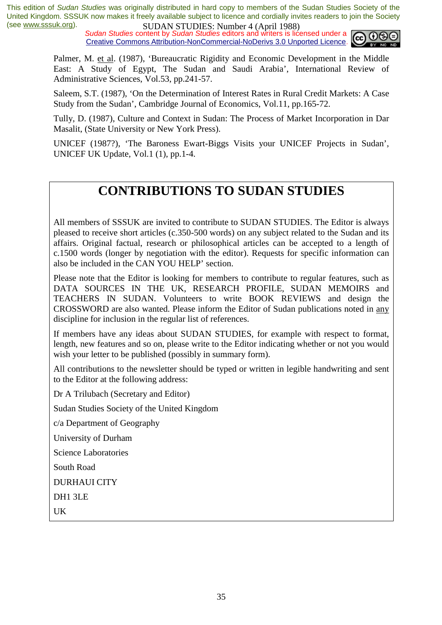**SUDAN STUDIES**: **NUTRE 4 (APM 1700)**<br>*Sudan Studies* content by *Sudan Studies* editors and writers is licensed under a Creative Commons Attribution-NonCommercial-NoDerivs 3.0 Unported Licence.



Palmer, M. et al. (1987), 'Bureaucratic Rigidity and Economic Development in the Middle East: A Study of Egypt, The Sudan and Saudi Arabia', International Review of Administrative Sciences, Vol.53, pp.241-57.

Saleem, S.T. (1987), 'On the Determination of Interest Rates in Rural Credit Markets: A Case Study from the Sudan', Cambridge Journal of Economics, Vol.11, pp.165-72.

Tully, D. (1987), Culture and Context in Sudan: The Process of Market Incorporation in Dar Masalit, (State University or New York Press).

UNICEF (1987?), 'The Baroness Ewart-Biggs Visits your UNICEF Projects in Sudan', UNICEF UK Update, Vol.1 (1), pp.1-4.

### **CONTRIBUTIONS TO SUDAN STUDIES**

All members of SSSUK are invited to contribute to SUDAN STUDIES. The Editor is always pleased to receive short articles (c.350-500 words) on any subject related to the Sudan and its affairs. Original factual, research or philosophical articles can be accepted to a length of c.1500 words (longer by negotiation with the editor). Requests for specific information can also be included in the CAN YOU HELP' section.

Please note that the Editor is looking for members to contribute to regular features, such as DATA SOURCES IN THE UK, RESEARCH PROFILE, SUDAN MEMOIRS and TEACHERS IN SUDAN. Volunteers to write BOOK REVIEWS and design the CROSSWORD are also wanted. Please inform the Editor of Sudan publications noted in any discipline for inclusion in the regular list of references.

If members have any ideas about SUDAN STUDIES, for example with respect to format, length, new features and so on, please write to the Editor indicating whether or not you would wish your letter to be published (possibly in summary form).

All contributions to the newsletter should be typed or written in legible handwriting and sent to the Editor at the following address:

Dr A Trilubach (Secretary and Editor)

Sudan Studies Society of the United Kingdom

c/a Department of Geography

University of Durham

Science Laboratories

South Road

DURHAUI CITY

DH1 3LE

UK